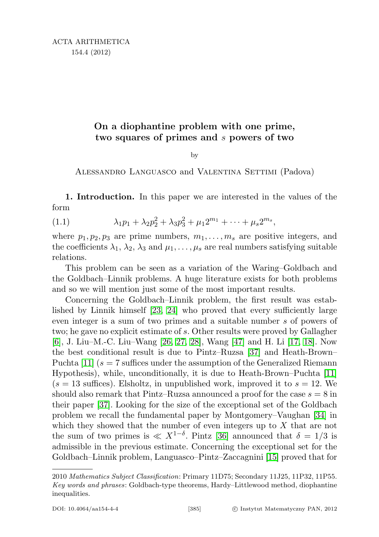# On a diophantine problem with one prime, two squares of primes and s powers of two

by

<span id="page-0-0"></span>Alessandro Languasco and Valentina Settimi (Padova)

1. Introduction. In this paper we are interested in the values of the form

(1.1) 
$$
\lambda_1 p_1 + \lambda_2 p_2^2 + \lambda_3 p_3^2 + \mu_1 2^{m_1} + \dots + \mu_s 2^{m_s},
$$

where  $p_1, p_2, p_3$  are prime numbers,  $m_1, \ldots, m_s$  are positive integers, and the coefficients  $\lambda_1, \lambda_2, \lambda_3$  and  $\mu_1, \ldots, \mu_s$  are real numbers satisfying suitable relations.

This problem can be seen as a variation of the Waring–Goldbach and the Goldbach–Linnik problems. A huge literature exists for both problems and so we will mention just some of the most important results.

Concerning the Goldbach–Linnik problem, the first result was established by Linnik himself [\[23,](#page-26-0) [24\]](#page-26-1) who proved that every sufficiently large even integer is a sum of two primes and a suitable number s of powers of two; he gave no explicit estimate of s. Other results were proved by Gallagher [\[6\]](#page-25-0), J. Liu–M.-C. Liu–Wang [\[26,](#page-26-2) [27,](#page-26-3) [28\]](#page-26-4), Wang [\[47\]](#page-27-0) and H. Li [\[17,](#page-25-1) [18\]](#page-25-2). Now the best conditional result is due to Pintz–Ruzsa [\[37\]](#page-26-5) and Heath-Brown– Puchta [\[11\]](#page-25-3)  $(s = 7$  suffices under the assumption of the Generalized Riemann Hypothesis), while, unconditionally, it is due to Heath-Brown–Puchta [\[11\]](#page-25-3)  $(s = 13$  suffices). Elsholtz, in unpublished work, improved it to  $s = 12$ . We should also remark that Pintz–Ruzsa announced a proof for the case  $s = 8$  in their paper [\[37\]](#page-26-5). Looking for the size of the exceptional set of the Goldbach problem we recall the fundamental paper by Montgomery–Vaughan [\[34\]](#page-26-6) in which they showed that the number of even integers up to  $X$  that are not the sum of two primes is  $\ll X^{1-\delta}$ . Pintz [\[36\]](#page-26-7) announced that  $\delta = 1/3$  is admissible in the previous estimate. Concerning the exceptional set for the Goldbach–Linnik problem, Languasco–Pintz–Zaccagnini [\[15\]](#page-25-4) proved that for

<sup>2010</sup> Mathematics Subject Classification: Primary 11D75; Secondary 11J25, 11P32, 11P55. Key words and phrases: Goldbach-type theorems, Hardy–Littlewood method, diophantine inequalities.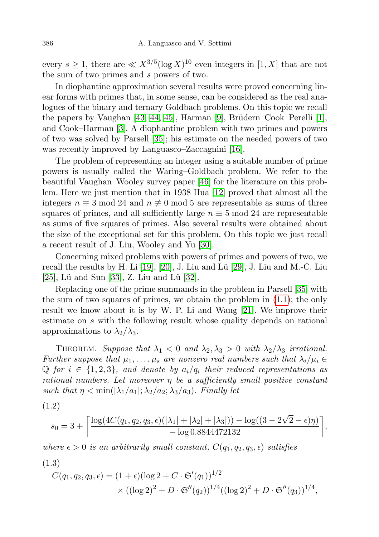every  $s \geq 1$ , there are  $\ll X^{3/5} (\log X)^{10}$  even integers in  $[1, X]$  that are not the sum of two primes and s powers of two.

In diophantine approximation several results were proved concerning linear forms with primes that, in some sense, can be considered as the real analogues of the binary and ternary Goldbach problems. On this topic we recall the papers by Vaughan [\[43,](#page-26-8) [44,](#page-27-1) [45\]](#page-27-2), Harman [\[9\]](#page-25-5), Brüdern–Cook–Perelli [\[1\]](#page-25-6), and Cook–Harman [\[3\]](#page-25-7). A diophantine problem with two primes and powers of two was solved by Parsell [\[35\]](#page-26-9); his estimate on the needed powers of two was recently improved by Languasco–Zaccagnini [\[16\]](#page-25-8).

The problem of representing an integer using a suitable number of prime powers is usually called the Waring–Goldbach problem. We refer to the beautiful Vaughan–Wooley survey paper [\[46\]](#page-27-3) for the literature on this problem. Here we just mention that in 1938 Hua [\[12\]](#page-25-9) proved that almost all the integers  $n \equiv 3 \mod 24$  and  $n \not\equiv 0 \mod 5$  are representable as sums of three squares of primes, and all sufficiently large  $n \equiv 5 \mod 24$  are representable as sums of five squares of primes. Also several results were obtained about the size of the exceptional set for this problem. On this topic we just recall a recent result of J. Liu, Wooley and Yu [\[30\]](#page-26-10).

Concerning mixed problems with powers of primes and powers of two, we recall the results by H. Li  $[19]$ ,  $[20]$ , J. Liu and Lü  $[29]$ , J. Liu and M.-C. Liu [\[25\]](#page-26-12), Lü and Sun [\[33\]](#page-26-13), Z. Liu and Lü [\[32\]](#page-26-14).

Replacing one of the prime summands in the problem in Parsell [\[35\]](#page-26-9) with the sum of two squares of primes, we obtain the problem in [\(1.1\)](#page-0-0); the only result we know about it is by W. P. Li and Wang [\[21\]](#page-25-12). We improve their estimate on s with the following result whose quality depends on rational approximations to  $\lambda_2/\lambda_3$ .

THEOREM. Suppose that  $\lambda_1 < 0$  and  $\lambda_2, \lambda_3 > 0$  with  $\lambda_2/\lambda_3$  irrational. Further suppose that  $\mu_1, \ldots, \mu_s$  are nonzero real numbers such that  $\lambda_i/\mu_i \in$  $\mathbb Q$  for  $i \in \{1,2,3\}$ , and denote by  $a_i/q_i$  their reduced representations as rational numbers. Let moreover  $\eta$  be a sufficiently small positive constant such that  $\eta < \min(|\lambda_1/a_1|; \lambda_2/a_2; \lambda_3/a_3)$ . Finally let

<span id="page-1-0"></span>(1.2)

$$
s_0 = 3 + \left\lceil \frac{\log(4C(q_1, q_2, q_3, \epsilon)(|\lambda_1| + |\lambda_2| + |\lambda_3|)) - \log((3 - 2\sqrt{2} - \epsilon)\eta)}{-\log 0.8844472132} \right\rceil,
$$

where  $\epsilon > 0$  is an arbitrarily small constant,  $C(q_1, q_2, q_3, \epsilon)$  satisfies

<span id="page-1-1"></span>
$$
(1.3)
$$

$$
C(q_1, q_2, q_3, \epsilon) = (1 + \epsilon)(\log 2 + C \cdot \mathfrak{S}'(q_1))^{1/2}
$$
  
 
$$
\times ((\log 2)^2 + D \cdot \mathfrak{S}''(q_2))^{1/4} ((\log 2)^2 + D \cdot \mathfrak{S}''(q_3))^{1/4},
$$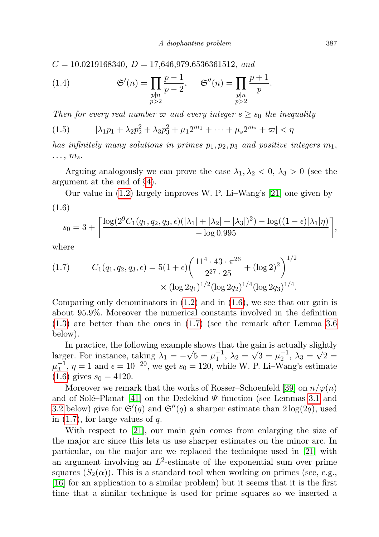$C = 10.0219168340, D = 17,646,979.6536361512, and$ 

<span id="page-2-3"></span>(1.4) 
$$
\mathfrak{S}'(n) = \prod_{\substack{p|n \\ p>2}} \frac{p-1}{p-2}, \quad \mathfrak{S}''(n) = \prod_{\substack{p|n \\ p>2}} \frac{p+1}{p}.
$$

Then for every real number  $\varpi$  and every integer  $s \geq s_0$  the inequality

<span id="page-2-2"></span>
$$
(1.5) \qquad |\lambda_1 p_1 + \lambda_2 p_2^2 + \lambda_3 p_3^2 + \mu_1 2^{m_1} + \dots + \mu_s 2^{m_s} + \varpi| < \eta
$$

has infinitely many solutions in primes  $p_1, p_2, p_3$  and positive integers  $m_1$ ,  $\ldots$ ,  $m_s$ .

Arguing analogously we can prove the case  $\lambda_1, \lambda_2 < 0, \lambda_3 > 0$  (see the argument at the end of §[4\)](#page-19-0).

<span id="page-2-0"></span>Our value in [\(1.2\)](#page-1-0) largely improves W. P. Li–Wang's [\[21\]](#page-25-12) one given by (1.6)

$$
s_0 = 3 + \left\lceil \frac{\log(2^9C_1(q_1, q_2, q_3, \epsilon)(|\lambda_1| + |\lambda_2| + |\lambda_3|)^2) - \log((1 - \epsilon)|\lambda_1|\eta)}{-\log 0.995} \right\rceil,
$$

where

<span id="page-2-1"></span>(1.7) 
$$
C_1(q_1, q_2, q_3, \epsilon) = 5(1 + \epsilon) \left( \frac{11^4 \cdot 43 \cdot \pi^{26}}{2^{27} \cdot 25} + (\log 2)^2 \right)^{1/2} \times (\log 2q_1)^{1/2} (\log 2q_2)^{1/4} (\log 2q_3)^{1/4}.
$$

Comparing only denominators in  $(1.2)$  and in  $(1.6)$ , we see that our gain is about 95.9%. Moreover the numerical constants involved in the definition [\(1.3\)](#page-1-1) are better than the ones in [\(1.7\)](#page-2-1) (see the remark after Lemma [3.6](#page-6-0) below).

In practice, the following example shows that the gain is actually slightly larger. For instance, taking  $\lambda_1 = -\sqrt{5} = \mu_1^{-1}$ ,  $\lambda_2 = \sqrt{3} = \mu_2^{-1}$ ,  $\lambda_3 = \sqrt{2} = \sqrt{3}$  $\mu_3^{-1}$ ,  $\eta = 1$  and  $\epsilon = 10^{-20}$ , we get  $s_0 = 120$ , while W. P. Li–Wang's estimate  $(1.6)$  gives  $s_0 = 4120$ .

Moreover we remark that the works of Rosser–Schoenfeld [\[39\]](#page-26-15) on  $n/\varphi(n)$ and of Solé–Planat [\[41\]](#page-26-16) on the Dedekind  $\Psi$  function (see Lemmas [3.1](#page-5-0) and [3.2](#page-5-1) below) give for  $\mathfrak{S}'(q)$  and  $\mathfrak{S}''(q)$  a sharper estimate than  $2\log(2q)$ , used in  $(1.7)$ , for large values of q.

With respect to [\[21\]](#page-25-12), our main gain comes from enlarging the size of the major arc since this lets us use sharper estimates on the minor arc. In particular, on the major arc we replaced the technique used in [\[21\]](#page-25-12) with an argument involving an  $L^2$ -estimate of the exponential sum over prime squares  $(S_2(\alpha))$ . This is a standard tool when working on primes (see, e.g., [\[16\]](#page-25-8) for an application to a similar problem) but it seems that it is the first time that a similar technique is used for prime squares so we inserted a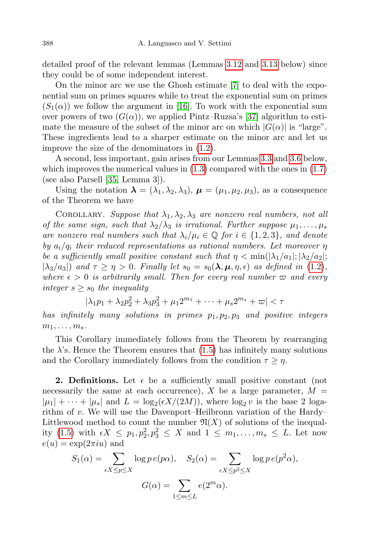detailed proof of the relevant lemmas (Lemmas [3.12](#page-11-0) and [3.13](#page-13-0) below) since they could be of some independent interest.

On the minor arc we use the Ghosh estimate [\[7\]](#page-25-13) to deal with the exponential sum on primes squares while to treat the exponential sum on primes  $(S_1(\alpha))$  we follow the argument in [\[16\]](#page-25-8). To work with the exponential sum over powers of two  $(G(\alpha))$ , we applied Pintz–Ruzsa's [\[37\]](#page-26-5) algorithm to estimate the measure of the subset of the minor arc on which  $|G(\alpha)|$  is "large". These ingredients lead to a sharper estimate on the minor arc and let us improve the size of the denominators in [\(1.2\)](#page-1-0).

A second, less important, gain arises from our Lemmas [3.3](#page-5-2) and [3.6](#page-6-0) below, which improves the numerical values in  $(1.3)$  compared with the ones in  $(1.7)$ (see also Parsell [\[35,](#page-26-9) Lemma 3]).

Using the notation  $\lambda = (\lambda_1, \lambda_2, \lambda_3), \mu = (\mu_1, \mu_2, \mu_3)$ , as a consequence of the Theorem we have

COROLLARY. Suppose that  $\lambda_1, \lambda_2, \lambda_3$  are nonzero real numbers, not all of the same sign, such that  $\lambda_2/\lambda_3$  is irrational. Further suppose  $\mu_1, \ldots, \mu_s$ are nonzero real numbers such that  $\lambda_i/\mu_i \in \mathbb{Q}$  for  $i \in \{1,2,3\}$ , and denote by  $a_i/q_i$  their reduced representations as rational numbers. Let moreover  $\eta$ be a sufficiently small positive constant such that  $\eta < \min(|\lambda_1/a_1|; |\lambda_2/a_2|;$  $|\lambda_3/a_3|$  and  $\tau \geq \eta > 0$ . Finally let  $s_0 = s_0(\lambda, \mu, \eta, \epsilon)$  as defined in [\(1.2\)](#page-1-0), where  $\epsilon > 0$  is arbitrarily small. Then for every real number  $\varpi$  and every integer  $s \geq s_0$  the inequality

$$
|\lambda_1 p_1 + \lambda_2 p_2^2 + \lambda_3 p_3^2 + \mu_1 2^{m_1} + \dots + \mu_s 2^{m_s} + \varpi| < \tau
$$

has infinitely many solutions in primes  $p_1, p_2, p_3$  and positive integers  $m_1, \ldots, m_s$ .

This Corollary immediately follows from the Theorem by rearranging the  $\lambda$ 's. Hence the Theorem ensures that [\(1.5\)](#page-2-2) has infinitely many solutions and the Corollary immediately follows from the condition  $\tau \geq \eta$ .

**2. Definitions.** Let  $\epsilon$  be a sufficiently small positive constant (not necessarily the same at each occurrence),  $X$  be a large parameter,  $M =$  $|\mu_1| + \cdots + |\mu_s|$  and  $L = \log_2(\epsilon X/(2M))$ , where  $\log_2 v$  is the base 2 logarithm of v. We will use the Davenport–Heilbronn variation of the Hardy– Littlewood method to count the number  $\mathfrak{N}(X)$  of solutions of the inequal-ity [\(1.5\)](#page-2-2) with  $\epsilon X \leq p_1, p_2^2, p_3^2 \leq X$  and  $1 \leq m_1, \ldots, m_s \leq L$ . Let now  $e(u) = \exp(2\pi iu)$  and

$$
S_1(\alpha) = \sum_{\epsilon X \le p \le X} \log p \, e(p\alpha), \quad S_2(\alpha) = \sum_{\epsilon X \le p^2 \le X} \log p \, e(p^2 \alpha),
$$

$$
G(\alpha) = \sum_{1 \le m \le L} e(2^m \alpha).
$$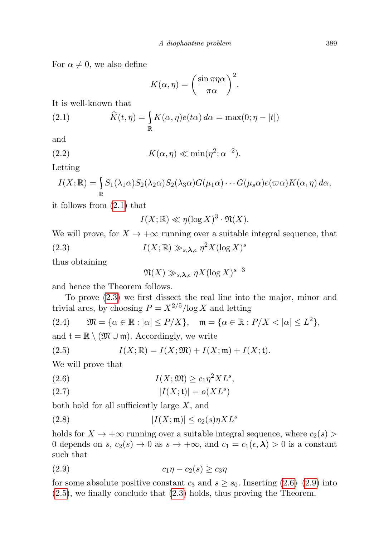For  $\alpha \neq 0$ , we also define

<span id="page-4-0"></span>
$$
K(\alpha, \eta) = \left(\frac{\sin \pi \eta \alpha}{\pi \alpha}\right)^2.
$$

It is well-known that

(2.1) 
$$
\widehat{K}(t,\eta) = \int_{\mathbb{R}} K(\alpha,\eta)e(t\alpha) d\alpha = \max(0;\eta - |t|)
$$

and

(2.2) 
$$
K(\alpha, \eta) \ll \min(\eta^2; \alpha^{-2}).
$$

Letting

<span id="page-4-1"></span>
$$
I(X; \mathbb{R}) = \int_{\mathbb{R}} S_1(\lambda_1 \alpha) S_2(\lambda_2 \alpha) S_2(\lambda_3 \alpha) G(\mu_1 \alpha) \cdots G(\mu_s \alpha) e(\varpi \alpha) K(\alpha, \eta) d\alpha,
$$

it follows from [\(2.1\)](#page-4-0) that

<span id="page-4-6"></span>
$$
I(X; \mathbb{R}) \ll \eta(\log X)^3 \cdot \mathfrak{N}(X).
$$

We will prove, for  $X \to +\infty$  running over a suitable integral sequence, that (2.3)  $I(X; \mathbb{R}) \gg_{s, \lambda, \epsilon} \eta^2 X(\log X)^s$ 

thus obtaining

$$
\mathfrak{N}(X) \gg_{s, \boldsymbol{\lambda}, \epsilon} \eta X (\log X)^{s-3}
$$

and hence the Theorem follows.

To prove [\(2.3\)](#page-4-1) we first dissect the real line into the major, minor and trivial arcs, by choosing  $P = X^{2/5}/\log X$  and letting

<span id="page-4-5"></span>
$$
(2.4) \qquad \mathfrak{M}=\{\alpha\in\mathbb{R}:|\alpha|\leq P/X\},\quad \mathfrak{m}=\{\alpha\in\mathbb{R}:P/X<|\alpha|\leq L^2\},
$$

and  $\mathfrak{t} = \mathbb{R} \setminus (\mathfrak{M} \cup \mathfrak{m})$ . Accordingly, we write

<span id="page-4-4"></span>(2.5) 
$$
I(X; \mathbb{R}) = I(X; \mathfrak{M}) + I(X; \mathfrak{m}) + I(X; \mathfrak{t}).
$$

We will prove that

<span id="page-4-2"></span>
$$
(2.6) \tI(X; \mathfrak{M}) \ge c_1 \eta^2 X L^s,
$$

<span id="page-4-7"></span>
$$
|I(X; \mathfrak{t})| = o(XL^s)
$$

both hold for all sufficiently large  $X$ , and

<span id="page-4-8"></span>(2.8) 
$$
|I(X; \mathfrak{m})| \le c_2(s) \eta X L^s
$$

holds for  $X \to +\infty$  running over a suitable integral sequence, where  $c_2(s)$ 0 depends on s,  $c_2(s) \to 0$  as  $s \to +\infty$ , and  $c_1 = c_1(\epsilon, \lambda) > 0$  is a constant such that

<span id="page-4-3"></span>
$$
(2.9) \t\t\t c_1\eta - c_2(s) \ge c_3\eta
$$

for some absolute positive constant  $c_3$  and  $s \geq s_0$ . Inserting  $(2.6)-(2.9)$  $(2.6)-(2.9)$  $(2.6)-(2.9)$  into [\(2.5\)](#page-4-4), we finally conclude that [\(2.3\)](#page-4-1) holds, thus proving the Theorem.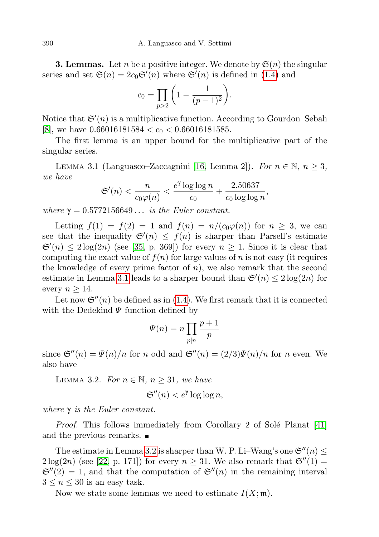**3. Lemmas.** Let *n* be a positive integer. We denote by  $\mathfrak{S}(n)$  the singular series and set  $\mathfrak{S}(n) = 2c_0 \mathfrak{S}'(n)$  where  $\mathfrak{S}'(n)$  is defined in [\(1.4\)](#page-2-3) and

<span id="page-5-3"></span>
$$
c_0 = \prod_{p>2} \left( 1 - \frac{1}{(p-1)^2} \right).
$$

Notice that  $\mathfrak{S}'(n)$  is a multiplicative function. According to Gourdon–Sebah [\[8\]](#page-25-14), we have  $0.66016181584 < c_0 < 0.66016181585$ .

The first lemma is an upper bound for the multiplicative part of the singular series.

<span id="page-5-0"></span>LEMMA 3.1 (Languasco–Zaccagnini [\[16,](#page-25-8) Lemma 2]). For  $n \in \mathbb{N}$ ,  $n \geq 3$ , we have

$$
\mathfrak{S}'(n) < \frac{n}{c_0\varphi(n)} < \frac{e^{\gamma}\log\log n}{c_0} + \frac{2.50637}{c_0\log\log n},
$$

where  $\gamma = 0.5772156649...$  is the Euler constant.

Letting  $f(1) = f(2) = 1$  and  $f(n) = n/(c_0\varphi(n))$  for  $n \geq 3$ , we can see that the inequality  $\mathfrak{S}'(n) \leq f(n)$  is sharper than Parsell's estimate  $\mathfrak{S}'(n) \leq 2 \log(2n)$  (see [\[35,](#page-26-9) p. 369]) for every  $n \geq 1$ . Since it is clear that computing the exact value of  $f(n)$  for large values of n is not easy (it requires the knowledge of every prime factor of  $n$ ), we also remark that the second estimate in Lemma [3.1](#page-5-0) leads to a sharper bound than  $\mathfrak{S}'(n) \leq 2 \log(2n)$  for every  $n \geq 14$ .

Let now  $\mathfrak{S}''(n)$  be defined as in [\(1.4\)](#page-2-3). We first remark that it is connected with the Dedekind  $\Psi$  function defined by

$$
\Psi(n) = n \prod_{p|n} \frac{p+1}{p}
$$

since  $\mathfrak{S}''(n) = \Psi(n)/n$  for n odd and  $\mathfrak{S}''(n) = (2/3)\Psi(n)/n$  for n even. We also have

<span id="page-5-1"></span>LEMMA 3.2. For  $n \in \mathbb{N}$ ,  $n \geq 31$ , we have

$$
\mathfrak{S}''(n) < e^{\gamma} \log \log n,
$$

where  $\gamma$  is the Euler constant.

*Proof.* This follows immediately from Corollary 2 of Solé–Planat  $[41]$ and the previous remarks.

The estimate in Lemma [3.2](#page-5-1) is sharper than W. P. Li–Wang's one  $\mathfrak{S}''(n) \leq$  $2\log(2n)$  (see [\[22,](#page-26-17) p. 171]) for every  $n \geq 31$ . We also remark that  $\mathfrak{S}''(1) =$  $\mathfrak{S}''(2) = 1$ , and that the computation of  $\mathfrak{S}''(n)$  in the remaining interval  $3 \leq n \leq 30$  is an easy task.

<span id="page-5-2"></span>Now we state some lemmas we need to estimate  $I(X; \mathfrak{m})$ .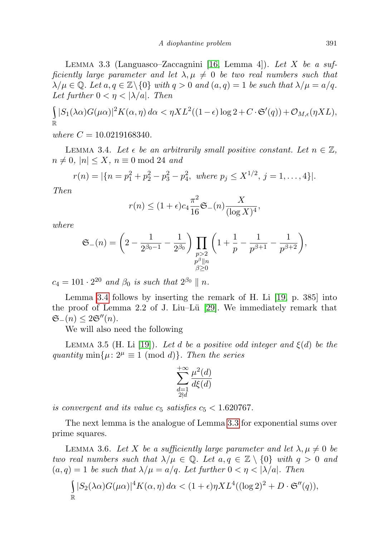LEMMA 3.3 (Languasco–Zaccagnini [\[16,](#page-25-8) Lemma 4]). Let  $X$  be a sufficiently large parameter and let  $\lambda, \mu \neq 0$  be two real numbers such that  $\lambda/\mu \in \mathbb{Q}$ . Let  $a, q \in \mathbb{Z} \setminus \{0\}$  with  $q > 0$  and  $(a, q) = 1$  be such that  $\lambda/\mu = a/q$ . Let further  $0 < \eta < |\lambda/a|$ . Then

$$
\int_{\mathbb{R}} |S_1(\lambda \alpha)G(\mu \alpha)|^2 K(\alpha, \eta) d\alpha < \eta X L^2((1-\epsilon) \log 2 + C \cdot \mathfrak{S}'(q)) + \mathcal{O}_{M,\epsilon}(\eta X L),
$$

where  $C = 10.0219168340$ .

<span id="page-6-1"></span>LEMMA 3.4. Let  $\epsilon$  be an arbitrarily small positive constant. Let  $n \in \mathbb{Z}$ ,  $n \neq 0, |n| \leq X, n \equiv 0 \mod 24$  and

$$
r(n) = |\{n = p_1^2 + p_2^2 - p_3^2 - p_4^2, \text{ where } p_j \le X^{1/2}, j = 1, ..., 4\}|.
$$

Then

$$
r(n) \le (1+\epsilon)c_4 \frac{\pi^2}{16} \mathfrak{S}_{-}(n) \frac{X}{(\log X)^4},
$$

where

$$
\mathfrak{S}_{-}(n)=\bigg(2-\frac{1}{2^{\beta_0-1}}-\frac{1}{2^{\beta_0}}\bigg)\prod_{\substack{p>2\\p^{\beta}\parallel n\\ \beta\geq 0}}\bigg(1+\frac{1}{p}-\frac{1}{p^{\beta+1}}-\frac{1}{p^{\beta+2}}\bigg),
$$

 $c_4 = 101 \cdot 2^{20}$  and  $\beta_0$  is such that  $2^{\beta_0} \parallel n$ .

Lemma [3.4](#page-6-1) follows by inserting the remark of H. Li [\[19,](#page-25-10) p. 385] into the proof of Lemma 2.2 of J. Liu–Lü [\[29\]](#page-26-11). We immediately remark that  $\mathfrak{S}_-(n) \leq 2\mathfrak{S}''(n).$ 

We will also need the following

<span id="page-6-2"></span>LEMMA 3.5 (H. Li [\[19\]](#page-25-10)). Let d be a positive odd integer and  $\xi(d)$  be the quantity min $\{\mu: 2^{\mu} \equiv 1 \pmod{d}\}$ . Then the series

$$
\sum_{\substack{d=1\\2\nmid d}}^{+\infty}\frac{\mu^2(d)}{d\xi(d)}
$$

is convergent and its value  $c_5$  satisfies  $c_5 < 1.620767$ .

The next lemma is the analogue of Lemma [3.3](#page-5-2) for exponential sums over prime squares.

<span id="page-6-0"></span>LEMMA 3.6. Let X be a sufficiently large parameter and let  $\lambda, \mu \neq 0$  be two real numbers such that  $\lambda/\mu \in \mathbb{Q}$ . Let  $a, q \in \mathbb{Z} \setminus \{0\}$  with  $q > 0$  and  $(a, q) = 1$  be such that  $\lambda/\mu = a/q$ . Let further  $0 < \eta < |\lambda/a|$ . Then

$$
\int_{\mathbb{R}} |S_2(\lambda \alpha)G(\mu \alpha)|^4 K(\alpha, \eta) d\alpha < (1+\epsilon)\eta X L^4((\log 2)^2 + D \cdot \mathfrak{S}''(q)),
$$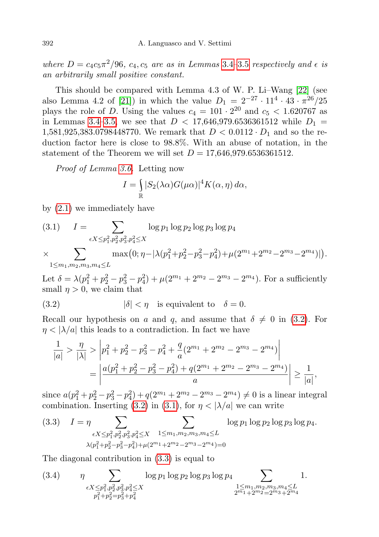where  $D = c_4 c_5 \pi^2 / 96$ ,  $c_4, c_5$  are as in Lemmas 3.4-[3.5](#page-6-2) respectively and  $\epsilon$  is an arbitrarily small positive constant.

This should be compared with Lemma 4.3 of W. P. Li–Wang [\[22\]](#page-26-17) (see also Lemma 4.2 of [\[21\]](#page-25-12)) in which the value  $D_1 = 2^{-27} \cdot 11^4 \cdot 43 \cdot \pi^{26}/25$ plays the role of D. Using the values  $c_4 = 101 \cdot 2^{20}$  and  $c_5 < 1.620767$  as in Lemmas [3.4–](#page-6-1)[3.5,](#page-6-2) we see that  $D < 17,646,979.6536361512$  while  $D_1 =$ 1,581,925,383.0798448770. We remark that  $D < 0.0112 \cdot D_1$  and so the reduction factor here is close to 98.8%. With an abuse of notation, in the statement of the Theorem we will set  $D = 17,646,979.6536361512$ .

Proof of Lemma [3.6.](#page-6-0) Letting now

$$
I = \int_{\mathbb{R}} |S_2(\lambda \alpha)G(\mu \alpha)|^4 K(\alpha, \eta) d\alpha,
$$

by [\(2.1\)](#page-4-0) we immediately have

(3.1) 
$$
I = \sum_{\epsilon X \le p_1^2, p_2^2, p_3^2, p_4^2 \le X} \log p_1 \log p_2 \log p_3 \log p_4
$$
  
 
$$
\times \sum \max(0; \eta - |\lambda(p_1^2 + p_2^2 - p_3^2 - p_4^2) + \mu(2^{m_1} + 2^{m_2} - 2^{m_3} - 2^{m_4})|).
$$

$$
\times
$$

 $1 \leq m_1, m_2, m_3, m_4 \leq L$ 

Let  $\delta = \lambda (p_1^2 + p_2^2 - p_3^2 - p_4^2) + \mu (2^{m_1} + 2^{m_2} - 2^{m_3} - 2^{m_4})$ . For a sufficiently small  $\eta > 0$ , we claim that

<span id="page-7-0"></span>(3.2) 
$$
|\delta| < \eta
$$
 is equivalent to  $\delta = 0$ .

Recall our hypothesis on a and q, and assume that  $\delta \neq 0$  in [\(3.2\)](#page-7-0). For  $\eta < |\lambda/a|$  this leads to a contradiction. In fact we have

$$
\frac{1}{|a|} > \frac{\eta}{|\lambda|} > \left|p_1^2 + p_2^2 - p_3^2 - p_4^2 + \frac{q}{a}(2^{m_1} + 2^{m_2} - 2^{m_3} - 2^{m_4})\right|
$$
  
= 
$$
\left|\frac{a(p_1^2 + p_2^2 - p_3^2 - p_4^2) + q(2^{m_1} + 2^{m_2} - 2^{m_3} - 2^{m_4})}{a}\right| \ge \frac{1}{|a|},
$$

since  $a(p_1^2 + p_2^2 - p_3^2 - p_4^2) + q(2^{m_1} + 2^{m_2} - 2^{m_3} - 2^{m_4}) \neq 0$  is a linear integral combination. Inserting [\(3.2\)](#page-7-0) in [\(3.1\)](#page-5-3), for  $\eta < |\lambda/a|$  we can write

<span id="page-7-1"></span>
$$
(3.3) \quad I = \eta \sum_{\epsilon X \le p_1^2, p_2^2, p_3^2, p_4^2 \le X} \sum_{1 \le m_1, m_2, m_3, m_4 \le L} \log p_1 \log p_2 \log p_3 \log p_4.
$$

$$
\lambda(p_1^2 + p_2^2 - p_3^2 - p_4^2) + \mu(2^{m_1} + 2^{m_2} - 2^{m_3} - 2^{m_4}) = 0
$$

The diagonal contribution in [\(3.3\)](#page-7-1) is equal to

<span id="page-7-2"></span>(3.4) 
$$
\eta \sum_{\substack{\epsilon X \leq p_1^2, p_2^2, p_3^2, p_4^2 \leq X \\ p_1^2 + p_2^2 = p_3^2 + p_4^2}} \log p_1 \log p_2 \log p_3 \log p_4 \sum_{\substack{1 \leq m_1, m_2, m_3, m_4 \leq L \\ 2^{m_1} + 2^{m_2} = 2^{m_3} + 2^{m_4}}} 1.
$$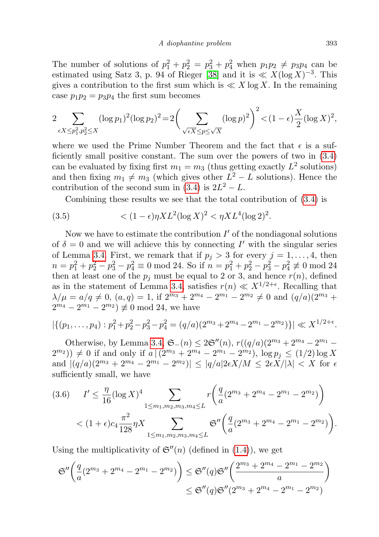The number of solutions of  $p_1^2 + p_2^2 = p_3^2 + p_4^2$  when  $p_1p_2 \neq p_3p_4$  can be estimated using Satz 3, p. 94 of Rieger [\[38\]](#page-26-18) and it is  $\ll X(\log X)^{-3}$ . This gives a contribution to the first sum which is  $\ll X \log X$ . In the remaining case  $p_1p_2 = p_3p_4$  the first sum becomes

$$
2\sum_{\epsilon X \le p_1^2, p_2^2 \le X} (\log p_1)^2 (\log p_2)^2 = 2\left(\sum_{\sqrt{\epsilon X} \le p \le \sqrt{X}} (\log p)^2\right)^2 < (1 - \epsilon)\frac{X}{2} (\log X)^2,
$$

where we used the Prime Number Theorem and the fact that  $\epsilon$  is a sufficiently small positive constant. The sum over the powers of two in [\(3.4\)](#page-7-2) can be evaluated by fixing first  $m_1 = m_3$  (thus getting exactly  $L^2$  solutions) and then fixing  $m_1 \neq m_3$  (which gives other  $L^2 - L$  solutions). Hence the contribution of the second sum in  $(3.4)$  is  $2L^2 - L$ .

<span id="page-8-1"></span>Combining these results we see that the total contribution of [\(3.4\)](#page-7-2) is

(3.5) 
$$
\langle (1 - \epsilon) \eta X L^2 (\log X)^2 \langle \eta X L^4 (\log 2)^2 \rangle
$$

Now we have to estimate the contribution  $I'$  of the nondiagonal solutions of  $\delta = 0$  and we will achieve this by connecting I' with the singular series of Lemma [3.4.](#page-6-1) First, we remark that if  $p_j > 3$  for every  $j = 1, \ldots, 4$ , then  $n = p_1^2 + p_2^2 - p_3^2 - p_4^2 \equiv 0 \mod 24$ . So if  $n = p_1^2 + p_2^2 - p_3^2 - p_4^2 \not\equiv 0 \mod 24$ then at least one of the  $p_j$  must be equal to 2 or 3, and hence  $r(n)$ , defined as in the statement of Lemma [3.4,](#page-6-1) satisfies  $r(n) \ll X^{1/2+\epsilon}$ . Recalling that  $\lambda/\mu = a/q \neq 0$ ,  $(a,q) = 1$ , if  $2^{m_3} + 2^{m_4} - 2^{m_1} - 2^{m_2} \neq 0$  and  $(q/a)(2^{m_3} +$  $2^{m_4} - 2^{m_1} - 2^{m_2} \neq 0 \mod 24$ , we have

$$
|\{(p_1,\ldots,p_4): p_1^2+p_2^2-p_3^2-p_4^2=(q/a)(2^{m_3}+2^{m_4}-2^{m_1}-2^{m_2})\}| \ll X^{1/2+\epsilon}.
$$

Otherwise, by Lemma [3.4,](#page-6-1)  $\mathfrak{S}_-(n) \leq 2\mathfrak{S}''(n)$ ,  $r((q/a)(2^{m_3}+2^{m_4}-2^{m_1} (2^{m_2})$   $\neq 0$  if and only if  $a \mid (2^{m_3} + 2^{m_4} - 2^{m_1} - 2^{m_2})$ ,  $\log p_j \leq (1/2) \log X$ and  $|(q/a)(2^{m_3} + 2^{m_4} - 2^{m_1} - 2^{m_2})| \le |q/a|2\epsilon X/M \le 2\epsilon X/|\lambda| < X$  for  $\epsilon$ sufficiently small, we have

<span id="page-8-0"></span>
$$
(3.6) \quad I' \leq \frac{\eta}{16} (\log X)^4 \sum_{1 \leq m_1, m_2, m_3, m_4 \leq L} r \left( \frac{q}{a} (2^{m_3} + 2^{m_4} - 2^{m_1} - 2^{m_2}) \right)
$$

$$
< (1 + \epsilon) c_4 \frac{\pi^2}{128} \eta X \sum_{1 \leq m_1, m_2, m_3, m_4 \leq L} \mathfrak{S}'' \left( \frac{q}{a} (2^{m_3} + 2^{m_4} - 2^{m_1} - 2^{m_2}) \right).
$$

Using the multiplicativity of  $\mathfrak{S}''(n)$  (defined in [\(1.4\)](#page-2-3)), we get

$$
\mathfrak{S}''\left(\frac{q}{a}(2^{m_3} + 2^{m_4} - 2^{m_1} - 2^{m_2})\right) \leq \mathfrak{S}''(q)\mathfrak{S}''\left(\frac{2^{m_3} + 2^{m_4} - 2^{m_1} - 2^{m_2}}{a}\right) \leq \mathfrak{S}''(q)\mathfrak{S}''(2^{m_3} + 2^{m_4} - 2^{m_1} - 2^{m_2})
$$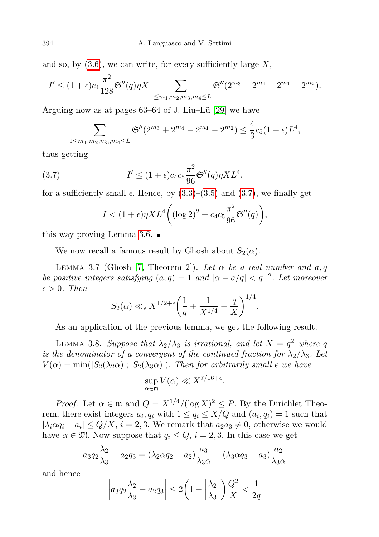and so, by  $(3.6)$ , we can write, for every sufficiently large X,

$$
I' \le (1+\epsilon)c_4 \frac{\pi^2}{128} \mathfrak{S}''(q)\eta X \sum_{1 \le m_1, m_2, m_3, m_4 \le L} \mathfrak{S}''(2^{m_3} + 2^{m_4} - 2^{m_1} - 2^{m_2}).
$$

Arguing now as at pages  $63-64$  of J. Liu–Lü [\[29\]](#page-26-11) we have

$$
\sum_{1 \leq m_1, m_2, m_3, m_4 \leq L} \mathfrak{S}''(2^{m_3} + 2^{m_4} - 2^{m_1} - 2^{m_2}) \leq \frac{4}{3} c_5 (1 + \epsilon) L^4,
$$

thus getting

(3.7) 
$$
I' \leq (1+\epsilon)c_4c_5\frac{\pi^2}{96}\mathfrak{S}''(q)\eta XL^4,
$$

for a sufficiently small  $\epsilon$ . Hence, by  $(3.3)$ – $(3.5)$  and  $(3.7)$ , we finally get

<span id="page-9-0"></span>
$$
I < (1+\epsilon)\eta X L^4 \bigg( (\log 2)^2 + c_4 c_5 \frac{\pi^2}{96} \mathfrak{S}''(q) \bigg),
$$

this way proving Lemma [3.6.](#page-6-0)  $\blacksquare$ 

We now recall a famous result by Ghosh about  $S_2(\alpha)$ .

<span id="page-9-1"></span>LEMMA 3.7 (Ghosh [\[7,](#page-25-13) Theorem 2]). Let  $\alpha$  be a real number and  $a, q$ be positive integers satisfying  $(a,q) = 1$  and  $|\alpha - a/q| < q^{-2}$ . Let moreover  $\epsilon > 0$ . Then

$$
S_2(\alpha) \ll_{\epsilon} X^{1/2+\epsilon} \left(\frac{1}{q} + \frac{1}{X^{1/4}} + \frac{q}{X}\right)^{1/4}.
$$

As an application of the previous lemma, we get the following result.

<span id="page-9-2"></span>LEMMA 3.8. Suppose that  $\lambda_2/\lambda_3$  is irrational, and let  $X = q^2$  where q is the denominator of a convergent of the continued fraction for  $\lambda_2/\lambda_3$ . Let  $V(\alpha) = \min(|S_2(\lambda_2\alpha)|; |S_2(\lambda_3\alpha)|)$ . Then for arbitrarily small  $\epsilon$  we have

$$
\sup_{\alpha \in \mathfrak{m}} V(\alpha) \ll X^{7/16 + \epsilon}.
$$

*Proof.* Let  $\alpha \in \mathfrak{m}$  and  $Q = X^{1/4}/(\log X)^2 \leq P$ . By the Dirichlet Theorem, there exist integers  $a_i, q_i$  with  $1 \le q_i \le X/Q$  and  $(a_i, q_i) = 1$  such that  $|\lambda_i \alpha q_i - a_i| \leq Q/X$ ,  $i = 2, 3$ . We remark that  $a_2 a_3 \neq 0$ , otherwise we would have  $\alpha \in \mathfrak{M}$ . Now suppose that  $q_i \leq Q$ ,  $i = 2, 3$ . In this case we get

$$
a_3q_2\frac{\lambda_2}{\lambda_3} - a_2q_3 = (\lambda_2\alpha q_2 - a_2)\frac{a_3}{\lambda_3\alpha} - (\lambda_3\alpha q_3 - a_3)\frac{a_2}{\lambda_3\alpha}
$$

and hence

$$
\left| a_3 q_2 \frac{\lambda_2}{\lambda_3} - a_2 q_3 \right| \le 2 \left( 1 + \left| \frac{\lambda_2}{\lambda_3} \right| \right) \frac{Q^2}{X} < \frac{1}{2q}
$$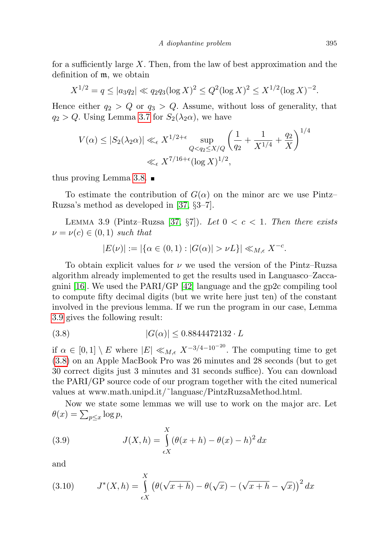for a sufficiently large  $X$ . Then, from the law of best approximation and the definition of m, we obtain

$$
X^{1/2} = q \le |a_3 q_2| \ll q_2 q_3 (\log X)^2 \le Q^2 (\log X)^2 \le X^{1/2} (\log X)^{-2}.
$$

Hence either  $q_2 > Q$  or  $q_3 > Q$ . Assume, without loss of generality, that  $q_2 > Q$ . Using Lemma [3.7](#page-9-1) for  $S_2(\lambda_2 \alpha)$ , we have

$$
V(\alpha) \le |S_2(\lambda_2 \alpha)| \ll_{\epsilon} X^{1/2 + \epsilon} \sup_{Q < q_2 \le X/Q} \left(\frac{1}{q_2} + \frac{1}{X^{1/4}} + \frac{q_2}{X}\right)^{1/4}
$$

$$
\ll_{\epsilon} X^{7/16 + \epsilon} (\log X)^{1/2},
$$

thus proving Lemma [3.8.](#page-9-2)  $\blacksquare$ 

To estimate the contribution of  $G(\alpha)$  on the minor arc we use Pintz– Ruzsa's method as developed in [\[37,](#page-26-5) §3–7].

<span id="page-10-0"></span>LEMMA 3.9 (Pintz–Ruzsa [\[37,](#page-26-5)  $\S7$ ]). Let  $0 < c < 1$ . Then there exists  $\nu = \nu(c) \in (0,1)$  such that

<span id="page-10-1"></span>
$$
|E(\nu)| := |\{\alpha \in (0,1) : |G(\alpha)| > \nu L\}| \ll_{M,\epsilon} X^{-c}.
$$

To obtain explicit values for  $\nu$  we used the version of the Pintz–Ruzsa algorithm already implemented to get the results used in Languasco–Zaccagnini [\[16\]](#page-25-8). We used the PARI/GP [\[42\]](#page-26-19) language and the gp2c compiling tool to compute fifty decimal digits (but we write here just ten) of the constant involved in the previous lemma. If we run the program in our case, Lemma [3.9](#page-10-0) gives the following result:

(3.8) 
$$
|G(\alpha)| \le 0.8844472132 \cdot L
$$

if  $\alpha \in [0,1] \setminus E$  where  $|E| \ll_{M,\epsilon} X^{-3/4-10^{-20}}$ . The computing time to get [\(3.8\)](#page-10-1) on an Apple MacBook Pro was 26 minutes and 28 seconds (but to get 30 correct digits just 3 minutes and 31 seconds suffice). You can download the PARI/GP source code of our program together with the cited numerical values at www.math.unipd.it/˜languasc/PintzRuzsaMethod.html.

Now we state some lemmas we will use to work on the major arc. Let  $\theta(x) = \sum_{p \leq x} \log p,$ 

<span id="page-10-2"></span>(3.9) 
$$
J(X, h) = \int_{\epsilon X}^{X} (\theta(x + h) - \theta(x) - h)^2 dx
$$

and

<span id="page-10-3"></span>(3.10) 
$$
J^*(X,h) = \int_{\epsilon X}^X \left(\theta(\sqrt{x+h}) - \theta(\sqrt{x}) - (\sqrt{x+h} - \sqrt{x})\right)^2 dx
$$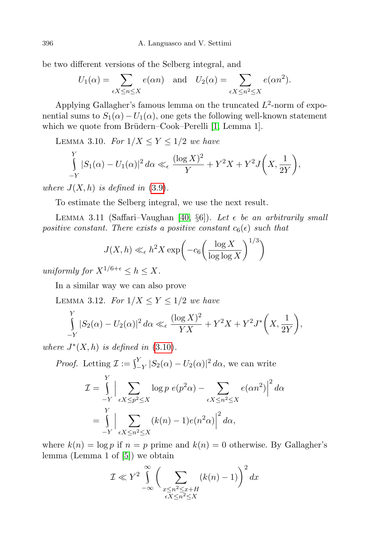be two different versions of the Selberg integral, and

$$
U_1(\alpha) = \sum_{\epsilon X \le n \le X} e(\alpha n) \quad \text{and} \quad U_2(\alpha) = \sum_{\epsilon X \le n^2 \le X} e(\alpha n^2).
$$

Applying Gallagher's famous lemma on the truncated  $L^2$ -norm of exponential sums to  $S_1(\alpha) - U_1(\alpha)$ , one gets the following well-known statement which we quote from Brüdern–Cook–Perelli [\[1,](#page-25-6) Lemma 1].

<span id="page-11-1"></span>LEMMA 3.10. For  $1/X \le Y \le 1/2$  we have

$$
\int_{-Y}^{Y} |S_1(\alpha) - U_1(\alpha)|^2 d\alpha \ll_{\epsilon} \frac{(\log X)^2}{Y} + Y^2 X + Y^2 J\left(X, \frac{1}{2Y}\right),
$$

where  $J(X, h)$  is defined in [\(3.9\)](#page-10-2).

To estimate the Selberg integral, we use the next result.

<span id="page-11-2"></span>LEMMA 3.11 (Saffari–Vaughan [\[40,](#page-26-20)  $\S6$ ]). Let  $\epsilon$  be an arbitrarily small positive constant. There exists a positive constant  $c_6(\epsilon)$  such that

$$
J(X,h) \ll_{\epsilon} h^2 X \exp\left(-c_6 \left(\frac{\log X}{\log \log X}\right)^{1/3}\right)
$$

uniformly for  $X^{1/6+\epsilon} \leq h \leq X$ .

<span id="page-11-0"></span>In a similar way we can also prove

LEMMA 3.12. For  $1/X \le Y \le 1/2$  we have

$$
\int_{-Y}^{Y} |S_2(\alpha) - U_2(\alpha)|^2 d\alpha \ll_{\epsilon} \frac{(\log X)^2}{YX} + Y^2X + Y^2J^*\left(X, \frac{1}{2Y}\right),
$$

where  $J^*(X, h)$  is defined in [\(3.10\)](#page-10-3).

*Proof.* Letting  $\mathcal{I} := \int_{-Y}^{Y} |S_2(\alpha) - U_2(\alpha)|^2 d\alpha$ , we can write

$$
\mathcal{I} = \int_{-Y}^{Y} \Big| \sum_{\epsilon X \le p^2 \le X} \log p \ e(p^2 \alpha) - \sum_{\epsilon X \le n^2 \le X} e(\alpha n^2) \Big|^2 d\alpha
$$

$$
= \int_{-Y}^{Y} \Big| \sum_{\epsilon X \le n^2 \le X} (k(n) - 1) e(n^2 \alpha) \Big|^2 d\alpha,
$$

where  $k(n) = \log p$  if  $n = p$  prime and  $k(n) = 0$  otherwise. By Gallagher's lemma (Lemma 1 of [\[5\]](#page-25-15)) we obtain

$$
\mathcal{I} \ll Y^2 \int_{-\infty}^{\infty} \left( \sum_{\substack{x \le n^2 \le x+H \\ \epsilon X \le n^2 \le X}} (k(n)-1) \right)^2 dx
$$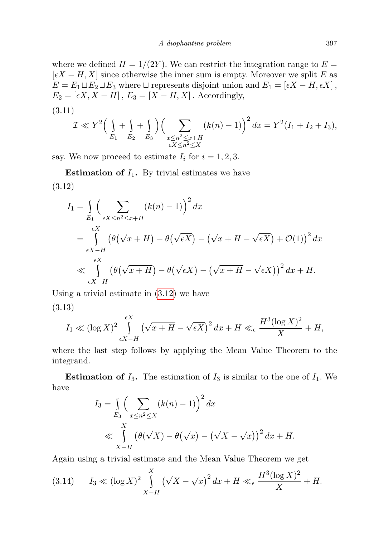where we defined  $H = 1/(2Y)$ . We can restrict the integration range to  $E =$  $[\epsilon X - H, X]$  since otherwise the inner sum is empty. Moreover we split E as  $E = E_1 \sqcup E_2 \sqcup E_3$  where  $\sqcup$  represents disjoint union and  $E_1 = [\epsilon X - H, \epsilon X],$  $E_2 = [\epsilon X, X - H], E_3 = [X - H, X].$  Accordingly,

<span id="page-12-1"></span>(3.11)  
\n
$$
\mathcal{I} \ll Y^2 \Big( \int_{E_1} + \int_{E_2} + \int_{E_3} \Big) \Big( \sum_{\substack{x \le n^2 \le x+H \\ \epsilon X \le n^2 \le X}} (k(n)-1) \Big)^2 dx = Y^2 (I_1 + I_2 + I_3),
$$

say. We now proceed to estimate  $I_i$  for  $i = 1, 2, 3$ .

<span id="page-12-0"></span>**Estimation of**  $I_1$ **.** By trivial estimates we have (3.12)

$$
I_1 = \int_{E_1} \left( \sum_{\epsilon X \le n^2 \le x+H} (k(n) - 1) \right)^2 dx
$$
  
= 
$$
\int_{\epsilon X-H} (\theta(\sqrt{x+H}) - \theta(\sqrt{\epsilon X}) - (\sqrt{x+H} - \sqrt{\epsilon X}) + \mathcal{O}(1))^2 dx
$$
  

$$
\ll \int_{\epsilon X-H} (\theta(\sqrt{x+H}) - \theta(\sqrt{\epsilon X}) - (\sqrt{x+H} - \sqrt{\epsilon X}))^2 dx + H.
$$

<span id="page-12-2"></span>Using a trivial estimate in [\(3.12\)](#page-12-0) we have (3.13)

$$
I_1 \ll (\log X)^2 \int_{\epsilon X - H}^{\epsilon X} \left(\sqrt{x+H} - \sqrt{\epsilon X}\right)^2 dx + H \ll_{\epsilon} \frac{H^3 (\log X)^2}{X} + H,
$$

where the last step follows by applying the Mean Value Theorem to the integrand.

**Estimation of**  $I_3$ **.** The estimation of  $I_3$  is similar to the one of  $I_1$ . We have

$$
I_3 = \int_{E_3} \left( \sum_{x \le n^2 \le X} (k(n) - 1) \right)^2 dx
$$
  
\$\le \int\_{X-H} \left( \theta(\sqrt{X}) - \theta(\sqrt{x}) - (\sqrt{X} - \sqrt{x}) \right)^2 dx + H\$.

Again using a trivial estimate and the Mean Value Theorem we get

$$
(3.14) \t I_3 \ll (\log X)^2 \int_{X-H}^X \left(\sqrt{X} - \sqrt{x}\right)^2 dx + H \ll_{\epsilon} \frac{H^3 (\log X)^2}{X} + H.
$$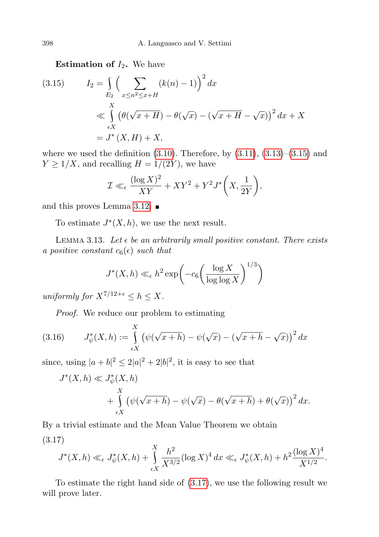**Estimation of**  $I_2$ **.** We have

<span id="page-13-1"></span>(3.15) 
$$
I_2 = \int_{E_2} \left( \sum_{x \le n^2 \le x+H} (k(n) - 1) \right)^2 dx
$$
  
\n
$$
\ll \int_{\epsilon X} \left( \theta(\sqrt{x+H}) - \theta(\sqrt{x}) - (\sqrt{x+H} - \sqrt{x}) \right)^2 dx + X
$$
  
\n
$$
= J^*(X, H) + X,
$$

where we used the definition  $(3.10)$ . Therefore, by  $(3.11)$ ,  $(3.13)$ – $(3.15)$  and  $Y \geq 1/X$ , and recalling  $H = 1/(2Y)$ , we have

$$
\mathcal{I} \ll_{\epsilon} \frac{(\log X)^2}{XY} + XY^2 + Y^2 J^* \left( X, \frac{1}{2Y} \right),
$$

and this proves Lemma [3.12.](#page-11-0)

To estimate  $J^*(X, h)$ , we use the next result.

<span id="page-13-0"></span>LEMMA 3.13. Let  $\epsilon$  be an arbitrarily small positive constant. There exists a positive constant  $c_6(\epsilon)$  such that

$$
J^*(X, h) \ll_{\epsilon} h^2 \exp\left(-c_6 \left(\frac{\log X}{\log \log X}\right)^{1/3}\right)
$$

uniformly for  $X^{7/12+\epsilon} \leq h \leq X$ .

<span id="page-13-3"></span>Proof. We reduce our problem to estimating

(3.16) 
$$
J_{\psi}^{*}(X, h) := \int_{\epsilon X}^{X} (\psi(\sqrt{x+h}) - \psi(\sqrt{x}) - (\sqrt{x+h} - \sqrt{x}))^{2} dx
$$

since, using  $|a+b|^2 \leq 2|a|^2 + 2|b|^2$ , it is easy to see that

$$
J^*(X, h) \ll J^*_{\psi}(X, h)
$$
  
+ 
$$
\int_{\epsilon X}^X (\psi(\sqrt{x+h}) - \psi(\sqrt{x}) - \theta(\sqrt{x+h}) + \theta(\sqrt{x}))^2 dx.
$$

<span id="page-13-2"></span>By a trivial estimate and the Mean Value Theorem we obtain (3.17)

$$
J^*(X, h) \ll_{\epsilon} J^*_{\psi}(X, h) + \int_{\epsilon X}^{X} \frac{h^2}{X^{3/2}} (\log X)^4 dx \ll_{\epsilon} J^*_{\psi}(X, h) + h^2 \frac{(\log X)^4}{X^{1/2}}.
$$

To estimate the right hand side of [\(3.17\)](#page-13-2), we use the following result we will prove later.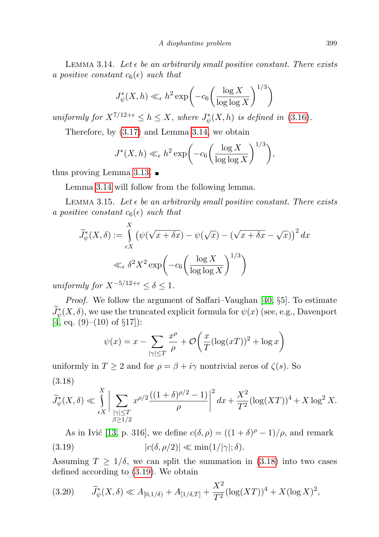<span id="page-14-0"></span>LEMMA 3.14. Let  $\epsilon$  be an arbitrarily small positive constant. There exists a positive constant  $c_6(\epsilon)$  such that

$$
J_{\psi}^*(X, h) \ll_{\epsilon} h^2 \exp\left(-c_6 \left(\frac{\log X}{\log \log X}\right)^{1/3}\right)
$$

uniformly for  $X^{7/12+\epsilon} \leq h \leq X$ , where  $J^*_{\psi}(X,h)$  is defined in [\(3.16\)](#page-13-3).

Therefore, by [\(3.17\)](#page-13-2) and Lemma [3.14,](#page-14-0) we obtain

$$
J^*(X,h) \ll_{\epsilon} h^2 \exp\bigg(-c_6\bigg(\frac{\log X}{\log \log X}\bigg)^{1/3}\bigg),\,
$$

thus proving Lemma [3.13.](#page-13-0)  $\blacksquare$ 

Lemma [3.14](#page-14-0) will follow from the following lemma.

<span id="page-14-4"></span>LEMMA 3.15. Let  $\epsilon$  be an arbitrarily small positive constant. There exists a positive constant  $c_6(\epsilon)$  such that

$$
\widetilde{J}_{\psi}^{*}(X,\delta) := \int_{\epsilon X}^{X} \left( \psi(\sqrt{x + \delta x}) - \psi(\sqrt{x}) - (\sqrt{x + \delta x} - \sqrt{x}) \right)^{2} dx
$$

$$
\ll_{\epsilon} \delta^{2} X^{2} \exp\left( -c_{6} \left( \frac{\log X}{\log \log X} \right)^{1/3} \right)
$$

uniformly for  $X^{-5/12+\epsilon} < \delta < 1$ .

Proof. We follow the argument of Saffari–Vaughan [\[40,](#page-26-20) §5]. To estimate  $\widetilde{J}_{\psi}^{*}(X,\delta)$ , we use the truncated explicit formula for  $\psi(x)$  (see, e.g., Davenport  $[4, \text{ eq. } (9)–(10) \text{ of } \S 17$  $[4, \text{ eq. } (9)–(10) \text{ of } \S 17$ :

$$
\psi(x) = x - \sum_{|\gamma| \le T} \frac{x^{\rho}}{\rho} + \mathcal{O}\left(\frac{x}{T}(\log(xT))^2 + \log x\right)
$$

<span id="page-14-1"></span>uniformly in  $T \geq 2$  and for  $\rho = \beta + i\gamma$  nontrivial zeros of  $\zeta(s)$ . So (3.18)

$$
\widetilde{J}_{\psi}^*(X,\delta) \ll \int\limits_{\epsilon X} \Bigg| \sum_{\substack{|\gamma| \leq T \\ \beta \geq 1/2}} x^{\rho/2} \frac{((1+\delta)^{\rho/2}-1)}{\rho} \Bigg|^2 dx + \frac{X^2}{T^2} (\log(XT))^4 + X \log^2 X.
$$

<span id="page-14-2"></span>As in Ivić [\[13,](#page-25-17) p. 316], we define  $c(\delta, \rho) = ((1 + \delta)^{\rho} - 1)/\rho$ , and remark (3.19)  $|c(\delta, \rho/2)| \ll \min(1/|\gamma|; \delta).$ 

Assuming  $T \geq 1/\delta$ , we can split the summation in [\(3.18\)](#page-14-1) into two cases defined according to [\(3.19\)](#page-14-2). We obtain

<span id="page-14-3"></span>
$$
(3.20) \qquad \widetilde{J}_{\psi}^*(X,\delta) \ll A_{[0,1/\delta)} + A_{[1/\delta,T]} + \frac{X^2}{T^2} (\log(XT))^4 + X(\log X)^2,
$$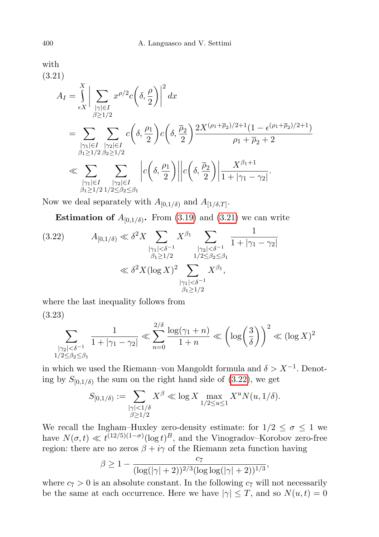<span id="page-15-0"></span>(3.21)  
\n
$$
A_{I} = \int_{\epsilon X}^{X} \Big| \sum_{\substack{|\gamma| \in I \\ \beta \ge 1/2}} x^{\rho/2} c\left(\delta, \frac{\rho}{2}\right) \Big|^{2} dx
$$
\n
$$
= \sum_{\substack{|\gamma| \in I \\ \beta \ge 1/2}} \sum_{\substack{|\gamma| \le l \\ \beta_1 \ge 1/2}} c\left(\delta, \frac{\rho_{1}}{2}\right) c\left(\delta, \frac{\overline{\rho}_{2}}{2}\right) \frac{2X^{(\rho_{1} + \overline{\rho}_{2})/2 + 1} (1 - \epsilon^{(\rho_{1} + \overline{\rho}_{2})/2 + 1})}{\rho_{1} + \overline{\rho}_{2} + 2}
$$
\n
$$
\ll \sum_{\substack{|\gamma_{1}| \in I \\ \beta_1 \ge 1/2}} \sum_{\substack{|\gamma_{2}| \in I \\ \beta_2 \ge 1/2}} \Big| c\left(\delta, \frac{\rho_{1}}{2}\right) \Big| \Big| c\left(\delta, \frac{\overline{\rho}_{2}}{2}\right) \Big| \frac{X^{\beta_{1} + 1}}{1 + |\gamma_{1} - \gamma_{2}|}.
$$

Now we deal separately with  $A_{[0,1/\delta)}$  and  $A_{[1/\delta,T]}$ .

**Estimation of**  $A_{[0,1/\delta)}$ . From [\(3.19\)](#page-14-2) and [\(3.21\)](#page-15-0) we can write

<span id="page-15-1"></span>
$$
(3.22) \tA_{[0,1/\delta)} \ll \delta^2 X \sum_{\substack{|\gamma_1| < \delta^{-1} \\ \beta_1 \ge 1/2}} X^{\beta_1} \sum_{\substack{|\gamma_2| < \delta^{-1} \\ 1/2 \le \beta_2 \le \beta_1 \\ |\gamma_1| < \delta^{-1} \\ \beta_1 \ge 1/2}} \frac{1}{1 + |\gamma_1 - \gamma_2|} \\
ll \delta^2 X (\log X)^2 \sum_{\substack{|\gamma_1| < \delta^{-1} \\ \beta_1 \ge 1/2}} X^{\beta_1},
$$

<span id="page-15-2"></span>where the last inequality follows from

(3.23)

$$
\sum_{\substack{|\gamma_2| < \delta^{-1} \\ 1/2 \le \beta_2 \le \beta_1}} \frac{1}{1+|\gamma_1 - \gamma_2|} \ll \sum_{n=0}^{2/\delta} \frac{\log(\gamma_1 + n)}{1+n} \ll \left(\log\left(\frac{3}{\delta}\right)\right)^2 \ll (\log X)^2
$$

in which we used the Riemann–von Mangoldt formula and  $\delta > X^{-1}$ . Denoting by  $S_{[0,1/\delta)}$  the sum on the right hand side of [\(3.22\)](#page-15-1), we get

$$
S_{[0,1/\delta)} := \sum_{\substack{|\gamma| < 1/\delta \\ \beta \ge 1/2}} X^{\beta} \ll \log X \max_{1/2 \le u \le 1} X^u N(u, 1/\delta).
$$

We recall the Ingham–Huxley zero-density estimate: for  $1/2 \leq \sigma \leq 1$  we have  $N(\sigma, t) \ll t^{(12/5)(1-\sigma)}(\log t)^B$ , and the Vinogradov–Korobov zero-free region: there are no zeros  $\beta + i\gamma$  of the Riemann zeta function having

$$
\beta \ge 1 - \frac{c_7}{(\log(|\gamma|+2))^{2/3}(\log \log(|\gamma|+2))^{1/3}},
$$

where  $c_7 > 0$  is an absolute constant. In the following  $c_7$  will not necessarily be the same at each occurrence. Here we have  $|\gamma| \leq T$ , and so  $N(u,t) = 0$ 

with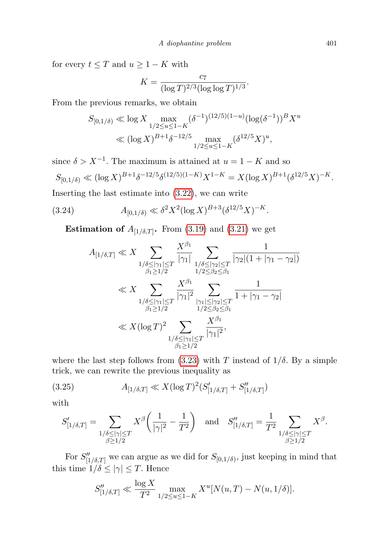for every  $t \leq T$  and  $u \geq 1 - K$  with

$$
K = \frac{c_7}{(\log T)^{2/3} (\log \log T)^{1/3}}
$$

.

From the previous remarks, we obtain

$$
S_{[0,1/\delta)} \ll \log X \max_{1/2 \le u \le 1-K} (\delta^{-1})^{(12/5)(1-u)} (\log(\delta^{-1}))^B X^u
$$
  

$$
\ll (\log X)^{B+1} \delta^{-12/5} \max_{1/2 \le u \le 1-K} (\delta^{12/5} X)^u,
$$

since  $\delta > X^{-1}$ . The maximum is attained at  $u = 1 - K$  and so

$$
S_{[0,1/\delta)} \ll (\log X)^{B+1} \delta^{-12/5} \delta^{(12/5)(1-K)} X^{1-K} = X (\log X)^{B+1} (\delta^{12/5} X)^{-K}.
$$

Inserting the last estimate into [\(3.22\)](#page-15-1), we can write

(3.24) 
$$
A_{[0,1/\delta)} \ll \delta^2 X^2 (\log X)^{B+3} (\delta^{12/5} X)^{-K}.
$$

**Estimation of**  $A_{[1/\delta,T]}$ . From [\(3.19\)](#page-14-2) and [\(3.21\)](#page-15-0) we get

<span id="page-16-1"></span>
$$
A_{[1/\delta,T]} \ll X \sum_{\substack{1/\delta \le |\gamma_1| \le T \\ \beta_1 \ge 1/2}} \frac{X^{\beta_1}}{|\gamma_1|} \sum_{\substack{1/\delta \le |\gamma_2| \le T \\ 1/2 \le \beta_2 \le \beta_1}} \frac{1}{|\gamma_2| (1 + |\gamma_1 - \gamma_2|)}
$$
  

$$
\ll X \sum_{\substack{1/\delta \le |\gamma_1| \le T \\ \beta_1 \ge 1/2}} \frac{X^{\beta_1}}{|\gamma_1|^2} \sum_{\substack{|\gamma_1| \le |\gamma_2| \le T \\ 1/2 \le \beta_2 \le \beta_1}} \frac{1}{1 + |\gamma_1 - \gamma_2|}
$$
  

$$
\ll X (\log T)^2 \sum_{\substack{1/\delta \le |\gamma_1| \le T \\ \beta_1 \ge 1/2}} \frac{X^{\beta_1}}{|\gamma_1|^2},
$$

where the last step follows from [\(3.23\)](#page-15-2) with T instead of  $1/\delta$ . By a simple trick, we can rewrite the previous inequality as

(3.25) 
$$
A_{[1/\delta,T]} \ll X(\log T)^2(S'_{[1/\delta,T]} + S''_{[1/\delta,T]})
$$

with

<span id="page-16-0"></span>
$$
S'_{[1/\delta,T]} = \sum_{\substack{1/\delta \le |\gamma| \le T \\ \beta \ge 1/2}} X^{\beta} \left( \frac{1}{|\gamma|^2} - \frac{1}{T^2} \right) \quad \text{and} \quad S''_{[1/\delta,T]} = \frac{1}{T^2} \sum_{\substack{1/\delta \le |\gamma| \le T \\ \beta \ge 1/2}} X^{\beta}.
$$

For  $S''_{[1/\delta,T]}$  we can argue as we did for  $S_{[0,1/\delta)}$ , just keeping in mind that this time  $1/\delta \le |\gamma| \le T$ . Hence

$$
S''_{[1/\delta,T]} \ll \frac{\log X}{T^2} \max_{1/2 \le u \le 1-K} X^u [N(u,T) - N(u,1/\delta)].
$$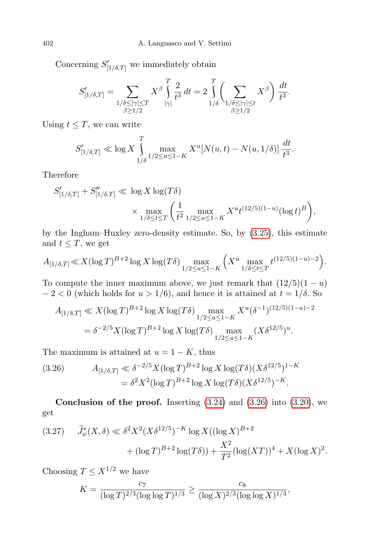Concerning  $S'_{[1/\delta,T]}$  we immediately obtain

$$
S'_{[1/\delta,T]} = \sum_{\substack{1/\delta \le |\gamma| \le T \\ \beta \ge 1/2}} X^{\beta} \int_{|\gamma|}^{T} \frac{2}{t^3} dt = 2 \int_{1/\delta}^{T} \left( \sum_{\substack{1/\delta \le |\gamma| \le t \\ \beta \ge 1/2}} X^{\beta} \right) \frac{dt}{t^3}.
$$

Using  $t \leq T$ , we can write

$$
S'_{[1/\delta,T]} \ll \log X \int_{1/\delta}^{T} \max_{1/2 \le u \le 1-K} X^u [N(u,t) - N(u, 1/\delta)] \frac{dt}{t^3}.
$$

Therefore

$$
S'_{[1/\delta,T]} + S''_{[1/\delta,T]} \ll \log X \log(T\delta)
$$
  
\$\times \max\_{1/\delta \le t \le T} \left( \frac{1}{t^2} \max\_{1/2 \le u \le 1-K} X^u t^{(12/5)(1-u)} (\log t)^B \right),\$

by the Ingham–Huxley zero-density estimate. So, by [\(3.25\)](#page-16-0), this estimate and  $t \leq T$ , we get

$$
A_{[1/\delta,T]} \ll X(\log T)^{B+2} \log X \log(T\delta) \max_{1/2 \le u \le 1-K} \left( X^u \max_{1/\delta \le t \le T} t^{(12/5)(1-u)-2} \right).
$$

To compute the inner maximum above, we just remark that  $(12/5)(1 - u)$  $-2 < 0$  (which holds for  $u > 1/6$ ), and hence it is attained at  $t = 1/\delta$ . So

$$
A_{[1/\delta,T]} \ll X(\log T)^{B+2} \log X \log(T\delta) \max_{1/2 \le u \le 1-K} X^u (\delta^{-1})^{(12/5)(1-u)-2}
$$
  
=  $\delta^{-2/5} X(\log T)^{B+2} \log X \log(T\delta) \max_{1/2 \le u \le 1-K} (X\delta^{12/5})^u.$ 

The maximum is attained at  $u = 1 - K$ , thus

<span id="page-17-0"></span>(3.26) 
$$
A_{[1/\delta,T]} \ll \delta^{-2/5} X (\log T)^{B+2} \log X \log(T\delta) (X \delta^{12/5})^{1-K}
$$

$$
= \delta^2 X^2 (\log T)^{B+2} \log X \log(T\delta) (X \delta^{12/5})^{-K}.
$$

**Conclusion of the proof.** Inserting  $(3.24)$  and  $(3.26)$  into  $(3.20)$ , we get

<span id="page-17-1"></span>
$$
(3.27) \qquad \widetilde{J}_{\psi}^*(X,\delta) \ll \delta^2 X^2 (X\delta^{12/5})^{-K} \log X((\log X)^{B+2} + (\log T)^{B+2} \log(T\delta)) + \frac{X^2}{T^2} (\log(XT))^4 + X(\log X)^2.
$$

Choosing  $T \leq X^{1/2}$  we have

$$
K = \frac{c_7}{(\log T)^{2/3} (\log \log T)^{1/3}} \ge \frac{c_8}{(\log X)^{2/3} (\log \log X)^{1/3}},
$$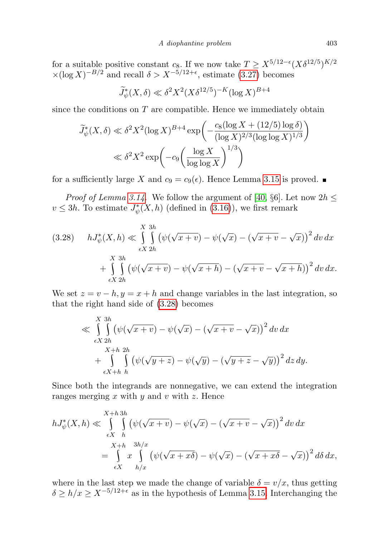for a suitable positive constant  $c_8$ . If we now take  $T \ge X^{5/12 - \epsilon} (X \delta^{12/5})^{K/2}$  $\times (\log X)^{-B/2}$  and recall  $\delta > X^{-5/12+\epsilon}$ , estimate [\(3.27\)](#page-17-1) becomes

<span id="page-18-0"></span>
$$
\widetilde{J}_{\psi}^*(X,\delta) \ll \delta^2 X^2 (X \delta^{12/5})^{-K} (\log X)^{B+4}
$$

since the conditions on  $T$  are compatible. Hence we immediately obtain

$$
\widetilde{J}_{\psi}^*(X,\delta) \ll \delta^2 X^2 (\log X)^{B+4} \exp\left(-\frac{c_8 (\log X + (12/5) \log \delta)}{(\log X)^{2/3} (\log \log X)^{1/3}}\right)
$$
  

$$
\ll \delta^2 X^2 \exp\left(-c_9 \left(\frac{\log X}{\log \log X}\right)^{1/3}\right)
$$

for a sufficiently large X and  $c_9 = c_9(\epsilon)$ . Hence Lemma [3.15](#page-14-4) is proved.

*Proof of Lemma [3.14.](#page-14-0)* We follow the argument of [\[40,](#page-26-20) §6]. Let now  $2h \leq$  $v \le 3h$ . To estimate  $J^*_{\psi}(X, h)$  (defined in [\(3.16\)](#page-13-3)), we first remark

$$
(3.28) \quad hJ^*_{\psi}(X,h) \ll \int\limits_{\epsilon X}^{X} \int\limits_{2h}^{3h} \left( \psi(\sqrt{x+v}) - \psi(\sqrt{x}) - (\sqrt{x+v} - \sqrt{x}) \right)^2 dv dx
$$

$$
+ \int\limits_{\epsilon X}^{X} \int\limits_{2h}^{3h} \left( \psi(\sqrt{x+v}) - \psi(\sqrt{x+h}) - (\sqrt{x+v} - \sqrt{x+h}) \right)^2 dv dx.
$$

We set  $z = v - h$ ,  $y = x + h$  and change variables in the last integration, so that the right hand side of [\(3.28\)](#page-18-0) becomes

$$
\ll \int_{\epsilon X}^{X} \int_{2h}^{3h} \left( \psi(\sqrt{x+v}) - \psi(\sqrt{x}) - (\sqrt{x+v} - \sqrt{x}) \right)^2 dv dx
$$
  
+ 
$$
\int_{\epsilon X + h}^{X+h} \int_{h}^{2h} \left( \psi(\sqrt{y+v}) - \psi(\sqrt{y}) - (\sqrt{y+v} - \sqrt{y}) \right)^2 dz dy.
$$

Since both the integrands are nonnegative, we can extend the integration ranges merging  $x$  with  $y$  and  $v$  with  $z$ . Hence

$$
hJ^*_{\psi}(X,h) \ll \int\limits_{\epsilon X}^{X+h} \int\limits_{h}^{3h} \left( \psi(\sqrt{x+v}) - \psi(\sqrt{x}) - (\sqrt{x+v} - \sqrt{x}) \right)^2 dv dx
$$
  
= 
$$
\int\limits_{\epsilon X}^{X+h} \int\limits_{h/x}^{3h/x} \left( \psi(\sqrt{x+x\delta}) - \psi(\sqrt{x}) - (\sqrt{x+x\delta} - \sqrt{x}) \right)^2 d\delta dx,
$$

where in the last step we made the change of variable  $\delta = v/x$ , thus getting  $\delta \geq h/x \geq X^{-5/12+\epsilon}$  as in the hypothesis of Lemma [3.15.](#page-14-4) Interchanging the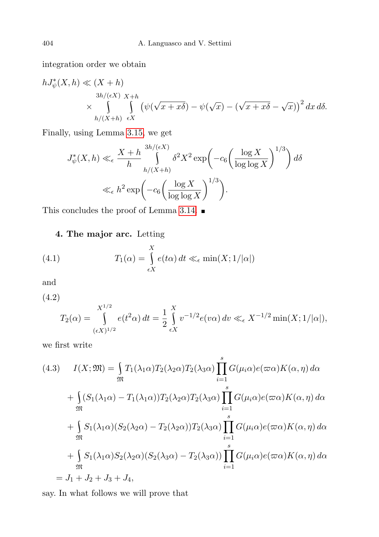integration order we obtain

$$
hJ^*_{\psi}(X,h) \ll (X+h)
$$
  
\n
$$
\times \int_{h/(X+h)}^{3h/(\epsilon X)} \int_{\epsilon X} (\psi(\sqrt{x+x\delta}) - \psi(\sqrt{x}) - (\sqrt{x+x\delta} - \sqrt{x}))^2 dx d\delta.
$$

Finally, using Lemma [3.15,](#page-14-4) we get

$$
J_{\psi}^{*}(X,h) \ll_{\epsilon} \frac{X+h}{h} \int_{h/(X+h)}^{3h/(\epsilon X)} \delta^{2} X^{2} \exp\left(-c_{6} \left(\frac{\log X}{\log \log X}\right)^{1/3}\right) d\delta
$$
  

$$
\ll_{\epsilon} h^{2} \exp\left(-c_{6} \left(\frac{\log X}{\log \log X}\right)^{1/3}\right).
$$

This concludes the proof of Lemma [3.14.](#page-14-0)  $\blacksquare$ 

## <span id="page-19-3"></span><span id="page-19-0"></span>4. The major arc. Letting

(4.1) 
$$
T_1(\alpha) = \int_{\epsilon X}^{X} e(t\alpha) dt \ll_{\epsilon} \min(X; 1/|\alpha|)
$$

and

<span id="page-19-2"></span>(4.2)

$$
T_2(\alpha) = \int_{(\epsilon X)^{1/2}}^{X^{1/2}} e(t^2 \alpha) dt = \frac{1}{2} \int_{\epsilon X}^{X} v^{-1/2} e(v \alpha) dv \ll_{\epsilon} X^{-1/2} \min(X; 1/|\alpha|),
$$

we first write

<span id="page-19-1"></span>(4.3) 
$$
I(X; \mathfrak{M}) = \int_{\mathfrak{M}} T_1(\lambda_1 \alpha) T_2(\lambda_2 \alpha) T_2(\lambda_3 \alpha) \prod_{i=1}^s G(\mu_i \alpha) e(\varpi \alpha) K(\alpha, \eta) d\alpha
$$

$$
+ \int_{\mathfrak{M}} (S_1(\lambda_1 \alpha) - T_1(\lambda_1 \alpha)) T_2(\lambda_2 \alpha) T_2(\lambda_3 \alpha) \prod_{i=1}^s G(\mu_i \alpha) e(\varpi \alpha) K(\alpha, \eta) d\alpha
$$

$$
+ \int_{\mathfrak{M}} S_1(\lambda_1 \alpha) (S_2(\lambda_2 \alpha) - T_2(\lambda_2 \alpha)) T_2(\lambda_3 \alpha) \prod_{i=1}^s G(\mu_i \alpha) e(\varpi \alpha) K(\alpha, \eta) d\alpha
$$

$$
+ \int_{\mathfrak{M}} S_1(\lambda_1 \alpha) S_2(\lambda_2 \alpha) (S_2(\lambda_3 \alpha) - T_2(\lambda_3 \alpha)) \prod_{i=1}^s G(\mu_i \alpha) e(\varpi \alpha) K(\alpha, \eta) d\alpha
$$

$$
= J_1 + J_2 + J_3 + J_4,
$$

say. In what follows we will prove that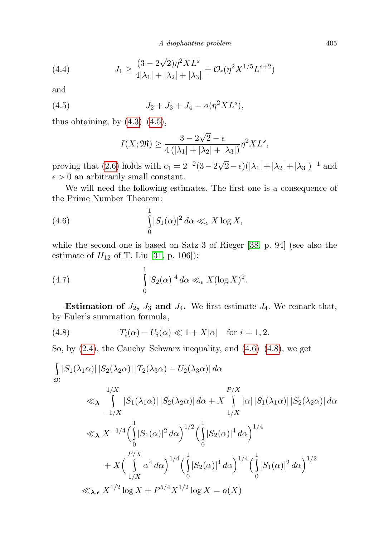<span id="page-20-3"></span>A diophantine problem 405

(4.4) 
$$
J_1 \ge \frac{(3 - 2\sqrt{2})\eta^2 X L^s}{4|\lambda_1| + |\lambda_2| + |\lambda_3|} + \mathcal{O}_{\epsilon}(\eta^2 X^{1/5} L^{s+2})
$$

and

(4.5) 
$$
J_2 + J_3 + J_4 = o(\eta^2 X L^s),
$$

thus obtaining, by  $(4.3)$ – $(4.5)$ ,

<span id="page-20-1"></span><span id="page-20-0"></span>
$$
I(X; \mathfrak{M}) \ge \frac{3 - 2\sqrt{2} - \epsilon}{4\left(|\lambda_1| + |\lambda_2| + |\lambda_3|\right)} \eta^2 X L^s,
$$

proving that [\(2.6\)](#page-4-2) holds with  $c_1 = 2^{-2}(3-2)$  $(2-\epsilon)(|\lambda_1|+|\lambda_2|+|\lambda_3|)^{-1}$  and  $\epsilon > 0$  an arbitrarily small constant.

We will need the following estimates. The first one is a consequence of the Prime Number Theorem:

(4.6) 
$$
\int_{0}^{1} |S_1(\alpha)|^2 d\alpha \ll_{\epsilon} X \log X,
$$

while the second one is based on Satz 3 of Rieger [\[38,](#page-26-18) p. 94] (see also the estimate of  $H_{12}$  of T. Liu [\[31,](#page-26-21) p. 106]):

<span id="page-20-4"></span>(4.7) 
$$
\int_{0}^{1} |S_2(\alpha)|^4 d\alpha \ll_{\epsilon} X(\log X)^2.
$$

**Estimation of**  $J_2$ ,  $J_3$  and  $J_4$ . We first estimate  $J_4$ . We remark that, by Euler's summation formula,

<span id="page-20-2"></span>(4.8) 
$$
T_i(\alpha) - U_i(\alpha) \ll 1 + X|\alpha| \quad \text{for } i = 1, 2.
$$

So, by  $(2.4)$ , the Cauchy–Schwarz inequality, and  $(4.6)$ – $(4.8)$ , we get

$$
\int_{\mathfrak{M}} |S_{1}(\lambda_{1}\alpha)| |S_{2}(\lambda_{2}\alpha)| |T_{2}(\lambda_{3}\alpha) - U_{2}(\lambda_{3}\alpha)| d\alpha
$$
  
\n
$$
\ll_{\lambda} \int_{-1/X} |S_{1}(\lambda_{1}\alpha)| |S_{2}(\lambda_{2}\alpha)| d\alpha + X \int_{1/X} |\alpha| |S_{1}(\lambda_{1}\alpha)| |S_{2}(\lambda_{2}\alpha)| d\alpha
$$
  
\n
$$
\ll_{\lambda} X^{-1/4} \Biggl( \int_{0}^{1} |S_{1}(\alpha)|^{2} d\alpha \Biggr)^{1/2} \Biggl( \int_{0}^{1} |S_{2}(\alpha)|^{4} d\alpha \Biggr)^{1/4}
$$
  
\n
$$
+ X \Biggl( \int_{1/X}^{\infty} \alpha^{4} d\alpha \Biggr)^{1/4} \Biggl( \int_{0}^{1} |S_{2}(\alpha)|^{4} d\alpha \Biggr)^{1/4} \Biggl( \int_{0}^{1} |S_{1}(\alpha)|^{2} d\alpha \Biggr)^{1/2}
$$
  
\n
$$
\ll_{\lambda, \epsilon} X^{1/2} \log X + P^{5/4} X^{1/2} \log X = o(X)
$$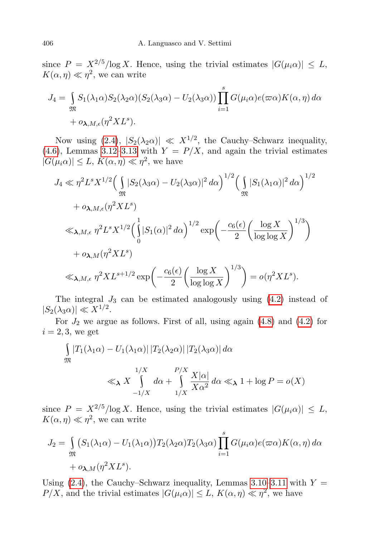since  $P = X^{2/5}/\log X$ . Hence, using the trivial estimates  $|G(\mu_i \alpha)| \leq L$ ,  $K(\alpha, \eta) \ll \eta^2$ , we can write

$$
J_4 = \int_{\mathfrak{M}} S_1(\lambda_1 \alpha) S_2(\lambda_2 \alpha) (S_2(\lambda_3 \alpha) - U_2(\lambda_3 \alpha)) \prod_{i=1}^s G(\mu_i \alpha) e(\varpi \alpha) K(\alpha, \eta) d\alpha
$$
  
+  $o_{\lambda, M, \epsilon}(\eta^2 X L^s).$ 

Now using  $(2.4)$ ,  $|S_2(\lambda_2\alpha)| \ll X^{1/2}$ , the Cauchy–Schwarz inequality, [\(4.6\)](#page-20-1), Lemmas [3.12–](#page-11-0)[3.13](#page-13-0) with  $Y = P/X$ , and again the trivial estimates  $|G(\mu_i \alpha)| \leq L, K(\alpha, \eta) \ll \eta^2$ , we have

$$
J_4 \ll \eta^2 L^s X^{1/2} \Big( \int_{\mathfrak{M}} |S_2(\lambda_3 \alpha) - U_2(\lambda_3 \alpha)|^2 d\alpha \Big)^{1/2} \Big( \int_{\mathfrak{M}} |S_1(\lambda_1 \alpha)|^2 d\alpha \Big)^{1/2}
$$
  
+  $o_{\lambda, M, \epsilon} (\eta^2 X L^s)$   

$$
\ll_{\lambda, M, \epsilon} \eta^2 L^s X^{1/2} \Big( \int_0^1 |S_1(\alpha)|^2 d\alpha \Big)^{1/2} \exp \Big( -\frac{c_6(\epsilon)}{2} \Big( \frac{\log X}{\log \log X} \Big)^{1/3} \Big)
$$
  
+  $o_{\lambda, M} (\eta^2 X L^s)$   

$$
\ll_{\lambda, M, \epsilon} \eta^2 X L^{s+1/2} \exp \Big( -\frac{c_6(\epsilon)}{2} \Big( \frac{\log X}{\log \log X} \Big)^{1/3} \Big) = o(\eta^2 X L^s).
$$

The integral  $J_3$  can be estimated analogously using  $(4.2)$  instead of  $|S_2(\lambda_3\alpha)| \ll X^{1/2}.$ 

For  $J_2$  we argue as follows. First of all, using again [\(4.8\)](#page-20-2) and [\(4.2\)](#page-19-2) for  $i = 2, 3$ , we get

$$
\int_{\mathfrak{M}} |T_1(\lambda_1 \alpha) - U_1(\lambda_1 \alpha)| |T_2(\lambda_2 \alpha)| |T_2(\lambda_3 \alpha)| d\alpha
$$
  

$$
\ll_{\lambda} X \int_{-1/X}^{1/X} d\alpha + \int_{1/X}^{P/X} \frac{X|\alpha|}{X\alpha^2} d\alpha \ll_{\lambda} 1 + \log P = o(X)
$$

since  $P = X^{2/5}/\log X$ . Hence, using the trivial estimates  $|G(\mu_i \alpha)| \leq L$ ,  $K(\alpha, \eta) \ll \eta^2$ , we can write

$$
J_2 = \int_{\mathfrak{M}} (S_1(\lambda_1 \alpha) - U_1(\lambda_1 \alpha)) T_2(\lambda_2 \alpha) T_2(\lambda_3 \alpha) \prod_{i=1}^s G(\mu_i \alpha) e(\varpi \alpha) K(\alpha, \eta) d\alpha
$$
  
+  $o_{\lambda, M}(\eta^2 X L^s).$ 

Using [\(2.4\)](#page-4-5), the Cauchy–Schwarz inequality, Lemmas [3.10–](#page-11-1)[3.11](#page-11-2) with  $Y =$  $P/X$ , and the trivial estimates  $|G(\mu_i \alpha)| \leq L$ ,  $K(\alpha, \eta) \ll \eta^2$ , we have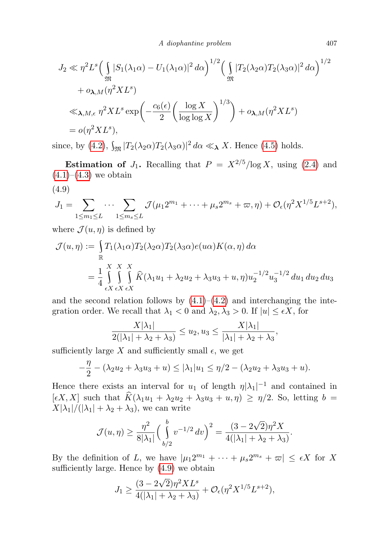A diophantine problem 407

$$
J_2 \ll \eta^2 L^s \Big( \int_{\mathfrak{M}} |S_1(\lambda_1 \alpha) - U_1(\lambda_1 \alpha)|^2 d\alpha \Big)^{1/2} \Big( \int_{\mathfrak{M}} |T_2(\lambda_2 \alpha) T_2(\lambda_3 \alpha)|^2 d\alpha \Big)^{1/2}
$$
  
+  $o_{\lambda,M}(\eta^2 X L^s)$   

$$
\ll_{\lambda,M,\epsilon} \eta^2 X L^s \exp\Big( -\frac{c_6(\epsilon)}{2} \Big( \frac{\log X}{\log \log X} \Big)^{1/3} \Big) + o_{\lambda,M}(\eta^2 X L^s)
$$
  
=  $o(\eta^2 X L^s),$ 

since, by [\(4.2\)](#page-19-2),  $\int_{\mathfrak{M}} |T_2(\lambda_2 \alpha) T_2(\lambda_3 \alpha)|^2 d\alpha \ll \chi X$ . Hence [\(4.5\)](#page-20-0) holds.

**Estimation of**  $J_1$ . Recalling that  $P = X^{2/5}/\log X$ , using [\(2.4\)](#page-4-5) and  $(4.1)–(4.3)$  $(4.1)–(4.3)$  $(4.1)–(4.3)$  we obtain

<span id="page-22-0"></span>
$$
(4.9)
$$

$$
J_1 = \sum_{1 \le m_1 \le L} \cdots \sum_{1 \le m_s \le L} \mathcal{J}(\mu_1 2^{m_1} + \cdots + \mu_s 2^{m_s} + \varpi, \eta) + \mathcal{O}_{\epsilon}(\eta^2 X^{1/5} L^{s+2}),
$$

where  $\mathcal{J}(u, \eta)$  is defined by

$$
\mathcal{J}(u,\eta) := \int_{\mathbb{R}} T_1(\lambda_1 \alpha) T_2(\lambda_2 \alpha) T_2(\lambda_3 \alpha) e(u\alpha) K(\alpha, \eta) d\alpha
$$
  
= 
$$
\frac{1}{4} \int_{\epsilon X}^{X} \int_{\epsilon X}^{X} \int_{\epsilon X} \widehat{K}(\lambda_1 u_1 + \lambda_2 u_2 + \lambda_3 u_3 + u, \eta) u_2^{-1/2} u_3^{-1/2} du_1 du_2 du_3
$$

and the second relation follows by  $(4.1)$ – $(4.2)$  and interchanging the integration order. We recall that  $\lambda_1 < 0$  and  $\lambda_2, \lambda_3 > 0$ . If  $|u| \leq \epsilon X$ , for

$$
\frac{X|\lambda_1|}{2(|\lambda_1|+\lambda_2+\lambda_3)} \leq u_2, u_3 \leq \frac{X|\lambda_1|}{|\lambda_1|+\lambda_2+\lambda_3},
$$

sufficiently large X and sufficiently small  $\epsilon$ , we get

$$
-\frac{\eta}{2} - (\lambda_2 u_2 + \lambda_3 u_3 + u) \le |\lambda_1| u_1 \le \eta/2 - (\lambda_2 u_2 + \lambda_3 u_3 + u).
$$

Hence there exists an interval for  $u_1$  of length  $\eta |\lambda_1|^{-1}$  and contained in  $[\epsilon X, X]$  such that  $\widehat{K}(\lambda_1u_1 + \lambda_2u_2 + \lambda_3u_3 + u, \eta) \geq \eta/2$ . So, letting  $b =$  $X|\lambda_1|/(|\lambda_1| + \lambda_2 + \lambda_3)$ , we can write

$$
\mathcal{J}(u,\eta) \ge \frac{\eta^2}{8|\lambda_1|} \Big(\int\limits_{b/2}^b v^{-1/2} dv\Big)^2 = \frac{(3 - 2\sqrt{2})\eta^2 X}{4(|\lambda_1| + \lambda_2 + \lambda_3)}.
$$

By the definition of L, we have  $|\mu_1 2^{m_1} + \cdots + \mu_s 2^{m_s} + \varpi| \leq \epsilon X$  for X sufficiently large. Hence by [\(4.9\)](#page-22-0) we obtain

$$
J_1 \ge \frac{(3 - 2\sqrt{2})\eta^2 X L^s}{4(|\lambda_1| + \lambda_2 + \lambda_3)} + \mathcal{O}_{\epsilon}(\eta^2 X^{1/5} L^{s+2}),
$$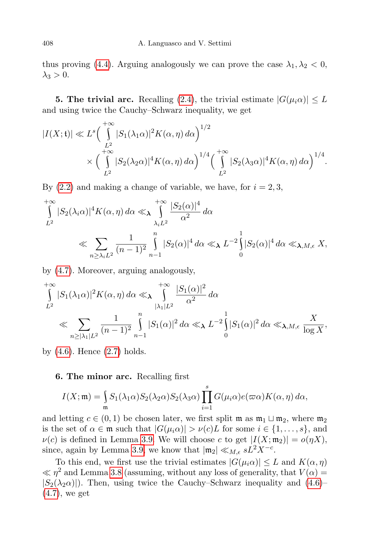thus proving [\(4.4\)](#page-20-3). Arguing analogously we can prove the case  $\lambda_1, \lambda_2 < 0$ ,  $\lambda_3 > 0$ .

**5. The trivial arc.** Recalling [\(2.4\)](#page-4-5), the trivial estimate  $|G(\mu_i \alpha)| \leq L$ and using twice the Cauchy–Schwarz inequality, we get

$$
|I(X; t)| \ll L^{s} \left(\int_{L^{2}}^{+\infty} |S_{1}(\lambda_{1}\alpha)|^{2} K(\alpha, \eta) d\alpha\right)^{1/2} \times \left(\int_{L^{2}}^{+\infty} |S_{2}(\lambda_{2}\alpha)|^{4} K(\alpha, \eta) d\alpha\right)^{1/4} \left(\int_{L^{2}}^{+\infty} |S_{2}(\lambda_{3}\alpha)|^{4} K(\alpha, \eta) d\alpha\right)^{1/4}.
$$

By  $(2.2)$  and making a change of variable, we have, for  $i = 2, 3$ ,

$$
\int_{L^2}^{+\infty} |S_2(\lambda_i \alpha)|^4 K(\alpha, \eta) d\alpha \ll \sqrt{\int_{\lambda_i L^2}^{+\infty} \frac{|S_2(\alpha)|^4}{\alpha^2} d\alpha}
$$
\n
$$
\ll \sum_{n \ge \lambda_i L^2} \frac{1}{(n-1)^2} \int_{n-1}^{n} |S_2(\alpha)|^4 d\alpha \ll \sqrt{L}^{-2} \int_{0}^{1} |S_2(\alpha)|^4 d\alpha \ll \sqrt{\Delta} M, \epsilon X,
$$

by [\(4.7\)](#page-20-4). Moreover, arguing analogously,

$$
\int_{L^2}^{+\infty} |S_1(\lambda_1\alpha)|^2 K(\alpha, \eta) d\alpha \ll \sqrt{\int_{|\lambda_1|L^2}^{+\infty} \frac{|S_1(\alpha)|^2}{\alpha^2} d\alpha}
$$
\n
$$
\ll \sum_{n \ge |\lambda_1|L^2} \frac{1}{(n-1)^2} \int_{n-1}^{n} |S_1(\alpha)|^2 d\alpha \ll \sqrt{L^{-2} \int_{0}^{1} |S_1(\alpha)|^2 d\alpha} \ll \sqrt{\lambda M} \int_{\log X}^{+\infty},
$$

by  $(4.6)$ . Hence  $(2.7)$  holds.

## 6. The minor arc. Recalling first

$$
I(X; \mathfrak{m}) = \int_{\mathfrak{m}} S_1(\lambda_1 \alpha) S_2(\lambda_2 \alpha) S_2(\lambda_3 \alpha) \prod_{i=1}^s G(\mu_i \alpha) e(\varpi \alpha) K(\alpha, \eta) d\alpha,
$$

and letting  $c \in (0, 1)$  be chosen later, we first split m as  $m_1 \sqcup m_2$ , where  $m_2$ is the set of  $\alpha \in \mathfrak{m}$  such that  $|G(\mu_i \alpha)| > \nu(c)L$  for some  $i \in \{1, \ldots, s\}$ , and  $\nu(c)$  is defined in Lemma [3.9.](#page-10-0) We will choose c to get  $|I(X; \mathfrak{m}_2)| = o(\eta X)$ , since, again by Lemma [3.9,](#page-10-0) we know that  $|\mathfrak{m}_2| \ll_{M,\epsilon} sL^2X^{-c}$ .

To this end, we first use the trivial estimates  $|G(\mu_i \alpha)| \leq L$  and  $K(\alpha, \eta)$  $\ll \eta^2$  and Lemma [3.8](#page-9-2) (assuming, without any loss of generality, that  $V(\alpha)$ )  $|S_2(\lambda_2\alpha)|$ . Then, using twice the Cauchy–Schwarz inequality and  $(4.6)$ – [\(4.7\)](#page-20-4), we get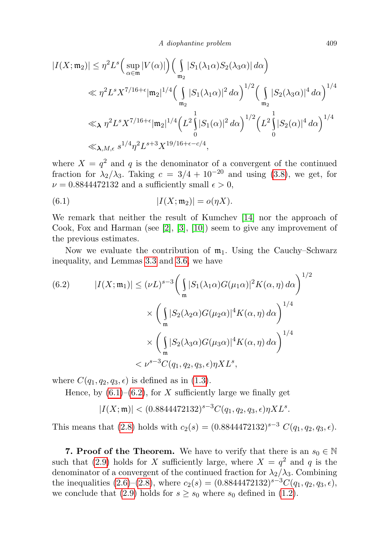$$
|I(X; \mathfrak{m}_2)| \leq \eta^2 L^s \Big( \sup_{\alpha \in \mathfrak{m}} |V(\alpha)| \Big) \Big( \int_{\mathfrak{m}_2} |S_1(\lambda_1 \alpha) S_2(\lambda_3 \alpha)| d\alpha \Big)
$$
  
\$\ll \eta^2 L^s X^{7/16 + \epsilon} |\mathfrak{m}\_2|^{1/4} \Big( \int\_{\mathfrak{m}\_2} |S\_1(\lambda\_1 \alpha)|^2 d\alpha \Big)^{1/2} \Big( \int\_{\mathfrak{m}\_2} |S\_2(\lambda\_3 \alpha)|^4 d\alpha \Big)^{1/4}\$  
\$\ll \chi \eta^2 L^s X^{7/16 + \epsilon} |\mathfrak{m}\_2|^{1/4} \Big( L^2 \int\_0^1 |S\_1(\alpha)|^2 d\alpha \Big)^{1/2} \Big( L^2 \int\_0^1 |S\_2(\alpha)|^4 d\alpha \Big)^{1/4}\$  
\$\ll \chi\_{\lambda, M, \epsilon} s^{1/4} \eta^2 L^{s+3} X^{19/16 + \epsilon - c/4},

where  $X = q^2$  and q is the denominator of a convergent of the continued fraction for  $\lambda_2/\lambda_3$ . Taking  $c = 3/4 + 10^{-20}$  and using [\(3.8\)](#page-10-1), we get, for  $\nu = 0.8844472132$  and a sufficiently small  $\epsilon > 0$ ,

<span id="page-24-0"></span>(6.1) 
$$
|I(X; \mathfrak{m}_2)| = o(\eta X).
$$

We remark that neither the result of Kumchev [\[14\]](#page-25-18) nor the approach of Cook, Fox and Harman (see  $[2], [3], [10]$  $[2], [3], [10]$  $[2], [3], [10]$  $[2], [3], [10]$  $[2], [3], [10]$ ) seem to give any improvement of the previous estimates.

Now we evaluate the contribution of  $m_1$ . Using the Cauchy–Schwarz inequality, and Lemmas [3.3](#page-5-2) and [3.6,](#page-6-0) we have

<span id="page-24-1"></span>(6.2) 
$$
|I(X; \mathfrak{m}_1)| \leq (\nu L)^{s-3} \left( \int_{\mathfrak{m}} |S_1(\lambda_1 \alpha) G(\mu_1 \alpha)|^2 K(\alpha, \eta) d\alpha \right)^{1/2}
$$

$$
\times \left( \int_{\mathfrak{m}} |S_2(\lambda_2 \alpha) G(\mu_2 \alpha)|^4 K(\alpha, \eta) d\alpha \right)^{1/4}
$$

$$
\times \left( \int_{\mathfrak{m}} |S_2(\lambda_3 \alpha) G(\mu_3 \alpha)|^4 K(\alpha, \eta) d\alpha \right)^{1/4}
$$

$$
< \nu^{s-3} C(q_1, q_2, q_3, \epsilon) \eta X L^s,
$$

where  $C(q_1, q_2, q_3, \epsilon)$  is defined as in [\(1.3\)](#page-1-1).

Hence, by  $(6.1)$ – $(6.2)$ , for X sufficiently large we finally get

 $|I(X; \mathfrak{m})| < (0.8844472132)^{s-3} C(q_1, q_2, q_3, \epsilon) \eta X L^s.$ 

This means that [\(2.8\)](#page-4-8) holds with  $c_2(s) = (0.8844472132)^{s-3} C(q_1, q_2, q_3, \epsilon)$ .

**7. Proof of the Theorem.** We have to verify that there is an  $s_0 \in \mathbb{N}$ such that [\(2.9\)](#page-4-3) holds for X sufficiently large, where  $X = q^2$  and q is the denominator of a convergent of the continued fraction for  $\lambda_2/\lambda_3$ . Combining the inequalities [\(2.6\)](#page-4-2)–[\(2.8\)](#page-4-8), where  $c_2(s) = (0.8844472132)^{s-3}C(q_1, q_2, q_3, \epsilon)$ , we conclude that [\(2.9\)](#page-4-3) holds for  $s \geq s_0$  where  $s_0$  defined in [\(1.2\)](#page-1-0).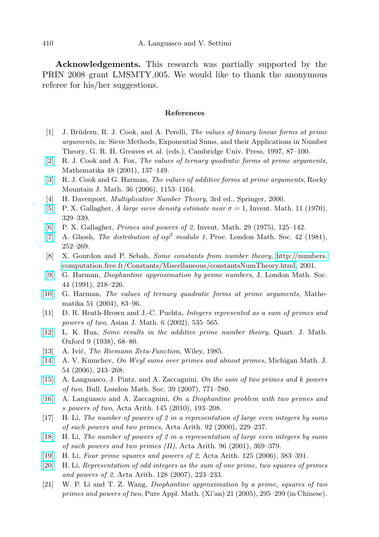Acknowledgements. This research was partially supported by the PRIN 2008 grant LMSMTY 005. We would like to thank the anonymous referee for his/her suggestions.

### References

- <span id="page-25-6"></span>[1] J. Brüdern, R. J. Cook, and A. Perelli, The values of binary linear forms at prime arguments, in: Sieve Methods, Exponential Sums, and their Applications in Number Theory, G. R. H. Greaves et al. (eds.), Cambridge Univ. Press, 1997, 87–100.
- <span id="page-25-19"></span>[\[2\]](http://dx.doi.org/10.1112/S002557930001439X) R. J. Cook and A. Fox, The values of ternary quadratic forms at prime arguments, Mathematika 48 (2001), 137–149.
- <span id="page-25-7"></span>[\[3\]](http://dx.doi.org/10.1216/rmjm/1181069409) R. J. Cook and G. Harman, The values of additive forms at prime arguments, Rocky Mountain J. Math. 36 (2006), 1153–1164.
- <span id="page-25-16"></span>[4] H. Davenport, *Multiplicative Number Theory*, 3rd ed., Springer, 2000.
- <span id="page-25-15"></span>[\[5\]](http://dx.doi.org/10.1007/BF01403187) P. X. Gallagher, A large sieve density estimate near  $\sigma = 1$ , Invent. Math. 11 (1970), 329–339.
- <span id="page-25-0"></span>[\[6\]](http://dx.doi.org/10.1007/BF01390190) P. X. Gallagher, Primes and powers of 2, Invent. Math. 29 (1975), 125–142.
- <span id="page-25-13"></span>[\[7\]](http://dx.doi.org/10.1112/plms/s3-42.2.252) A. Ghosh, The distribution of  $\alpha p^2$  modulo 1, Proc. London Math. Soc. 42 (1981), 252–269.
- <span id="page-25-14"></span>[8] X. Gourdon and P. Sebah, Some constants from number theory, [http://numbers.](http://numbers.computation.free.fr/Constants/Miscellaneous/constantsNumTheory.html) [computation.free.fr/Constants/Miscellaneous/constantsNumTheory.html,](http://numbers.computation.free.fr/Constants/Miscellaneous/constantsNumTheory.html) 2001.
- <span id="page-25-5"></span>[\[9\]](http://dx.doi.org/10.1112/jlms/s2-44.2.218) G. Harman, Diophantine approximation by prime numbers, J. London Math. Soc. 44 (1991), 218–226.
- <span id="page-25-20"></span>[\[10\]](http://dx.doi.org/10.1112/S0025579300015527) G. Harman, The values of ternary quadratic forms at prime arguments, Mathematika 51 (2004), 83–96.
- <span id="page-25-3"></span>[11] D. R. Heath-Brown and J.-C. Puchta, Integers represented as a sum of primes and powers of two, Asian J. Math. 6 (2002), 535–565.
- <span id="page-25-9"></span>[\[12\]](http://dx.doi.org/10.1093/qmath/os-9.1.68) L. K. Hua, Some results in the additive prime number theory, Quart. J. Math. Oxford 9 (1938), 68–80.
- <span id="page-25-17"></span>[13] A. Ivić, *The Riemann Zeta-Function*, Wiley, 1985.
- <span id="page-25-18"></span>[\[14\]](http://dx.doi.org/10.1307/mmj/1156345592) A. V. Kumchev, On Weyl sums over primes and almost primes, Michigan Math. J. 54 (2006), 243–268.
- <span id="page-25-4"></span>[\[15\]](http://dx.doi.org/10.1112/blms/bdm062) A. Languasco, J. Pintz, and A. Zaccagnini, On the sum of two primes and k powers of two, Bull. London Math. Soc. 39 (2007), 771–780.
- <span id="page-25-8"></span>[\[16\]](http://dx.doi.org/10.4064/aa145-2-7) A. Languasco and A. Zaccagnini, On a Diophantine problem with two primes and s powers of two, Acta Arith. 145 (2010), 193–208.
- <span id="page-25-1"></span>[17] H. Li, The number of powers of 2 in a representation of large even integers by sums of such powers and two primes, Acta Arith. 92 (2000), 229–237.
- <span id="page-25-2"></span>[\[18\]](http://dx.doi.org/10.4064/aa96-4-7) H. Li, The number of powers of 2 in a representation of large even integers by sums of such powers and two primes (II), Acta Arith. 96 (2001), 369–379.
- <span id="page-25-10"></span>[\[19\]](http://dx.doi.org/10.4064/aa125-4-6) H. Li, Four prime squares and powers of 2, Acta Arith. 125 (2006), 383–391.
- <span id="page-25-11"></span>[\[20\]](http://dx.doi.org/10.4064/aa128-3-3) H. Li, Representation of odd integers as the sum of one prime, two squares of primes and powers of 2, Acta Arith. 128 (2007), 223–233.
- <span id="page-25-12"></span>[21] W. P. Li and T. Z. Wang, Diophantine approximation by a prime, squares of two primes and powers of two, Pure Appl. Math. (Xi'an) 21 (2005), 295–299 (in Chinese).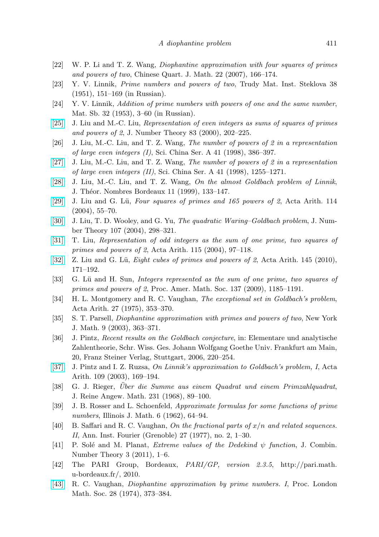- <span id="page-26-17"></span>[22] W. P. Li and T. Z. Wang, Diophantine approximation with four squares of primes and powers of two, Chinese Quart. J. Math. 22 (2007), 166–174.
- <span id="page-26-0"></span>[23] Y. V. Linnik, Prime numbers and powers of two, Trudy Mat. Inst. Steklova 38 (1951), 151–169 (in Russian).
- <span id="page-26-1"></span>[24] Y. V. Linnik, Addition of prime numbers with powers of one and the same number, Mat. Sb. 32 (1953), 3–60 (in Russian).
- <span id="page-26-12"></span>[\[25\]](http://dx.doi.org/10.1006/jnth.1999.2500) J. Liu and M.-C. Liu, Representation of even integers as sums of squares of primes and powers of 2, J. Number Theory 83 (2000), 202–225.
- <span id="page-26-2"></span>[26] J. Liu, M.-C. Liu, and T. Z. Wang, The number of powers of 2 in a representation of large even integers (I), Sci. China Ser. A 41 (1998), 386–397.
- <span id="page-26-3"></span>[\[27\]](http://dx.doi.org/10.1007/BF02882266) J. Liu, M.-C. Liu, and T. Z. Wang, The number of powers of 2 in a representation of large even integers (II), Sci. China Ser. A 41 (1998), 1255–1271.
- <span id="page-26-4"></span>[\[28\]](http://dx.doi.org/10.5802/jtnb.242) J. Liu, M.-C. Liu, and T. Z. Wang, On the almost Goldbach problem of Linnik, J. Théor. Nombres Bordeaux 11 (1999), 133-147.
- <span id="page-26-11"></span>[\[29\]](http://dx.doi.org/10.4064/aa114-1-4) J. Liu and G. Lü, Four squares of primes and  $165$  powers of 2, Acta Arith. 114 (2004), 55–70.
- <span id="page-26-10"></span>[\[30\]](http://dx.doi.org/10.1016/j.jnt.2004.04.011) J. Liu, T. D. Wooley, and G. Yu, The quadratic Waring–Goldbach problem, J. Number Theory 107 (2004), 298–321.
- <span id="page-26-21"></span>[\[31\]](http://dx.doi.org/10.4064/aa115-2-1) T. Liu, Representation of odd integers as the sum of one prime, two squares of primes and powers of 2, Acta Arith. 115 (2004), 97–118.
- <span id="page-26-14"></span>[\[32\]](http://dx.doi.org/10.4064/aa145-2-6) Z. Liu and G. Lü, Eight cubes of primes and powers of 2, Acta Arith. 145 (2010), 171–192.
- <span id="page-26-13"></span>[33] G. Lü and H. Sun, Integers represented as the sum of one prime, two squares of primes and powers of 2, Proc. Amer. Math. Soc. 137 (2009), 1185–1191.
- <span id="page-26-6"></span>[34] H. L. Montgomery and R. C. Vaughan, The exceptional set in Goldbach's problem, Acta Arith. 27 (1975), 353–370.
- <span id="page-26-9"></span>[35] S. T. Parsell, Diophantine approximation with primes and powers of two, New York J. Math. 9 (2003), 363–371.
- <span id="page-26-7"></span>[36] J. Pintz, Recent results on the Goldbach conjecture, in: Elementare und analytische Zahlentheorie, Schr. Wiss. Ges. Johann Wolfgang Goethe Univ. Frankfurt am Main, 20, Franz Steiner Verlag, Stuttgart, 2006, 220–254.
- <span id="page-26-5"></span>[\[37\]](http://dx.doi.org/10.4064/aa109-2-6) J. Pintz and I. Z. Ruzsa, On Linnik's approximation to Goldbach's problem, I, Acta Arith. 109 (2003), 169–194.
- <span id="page-26-18"></span>[38] G. J. Rieger, Über die Summe aus einem Quadrat und einem Primzahlquadrat, J. Reine Angew. Math. 231 (1968), 89–100.
- <span id="page-26-15"></span>[39] J. B. Rosser and L. Schoenfeld, Approximate formulas for some functions of prime numbers, Illinois J. Math. 6 (1962), 64–94.
- <span id="page-26-20"></span>[40] B. Saffari and R. C. Vaughan, On the fractional parts of  $x/n$  and related sequences. II, Ann. Inst. Fourier (Grenoble) 27 (1977), no. 2, 1–30.
- <span id="page-26-16"></span>[41] P. Solé and M. Planat, Extreme values of the Dedekind  $\psi$  function, J. Combin. Number Theory 3 (2011), 1–6.
- <span id="page-26-19"></span>[42] The PARI Group, Bordeaux, PARI/GP, version 2.3.5, http://pari.math. u-bordeaux.fr/, 2010.
- <span id="page-26-8"></span>[\[43\]](http://dx.doi.org/10.1112/plms/s3-28.2.373) R. C. Vaughan, Diophantine approximation by prime numbers. I, Proc. London Math. Soc. 28 (1974), 373–384.